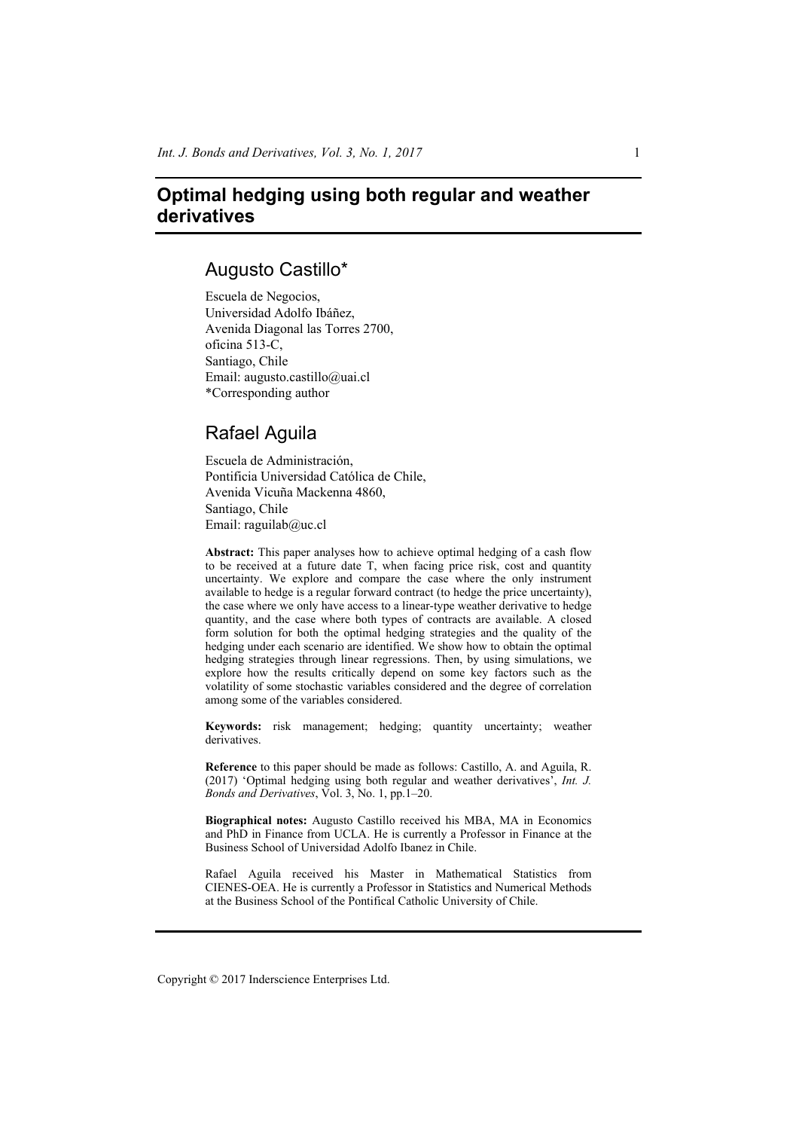# **Optimal hedging using both regular and weather derivatives**

## Augusto Castillo\*

Escuela de Negocios, Universidad Adolfo Ibáñez, Avenida Diagonal las Torres 2700, oficina 513-C, Santiago, Chile Email: augusto.castillo@uai.cl \*Corresponding author

## Rafael Aguila

Escuela de Administración, Pontificia Universidad Católica de Chile, Avenida Vicuña Mackenna 4860, Santiago, Chile Email: raguilab@uc.cl

**Abstract:** This paper analyses how to achieve optimal hedging of a cash flow to be received at a future date T, when facing price risk, cost and quantity uncertainty. We explore and compare the case where the only instrument available to hedge is a regular forward contract (to hedge the price uncertainty), the case where we only have access to a linear-type weather derivative to hedge quantity, and the case where both types of contracts are available. A closed form solution for both the optimal hedging strategies and the quality of the hedging under each scenario are identified. We show how to obtain the optimal hedging strategies through linear regressions. Then, by using simulations, we explore how the results critically depend on some key factors such as the volatility of some stochastic variables considered and the degree of correlation among some of the variables considered.

**Keywords:** risk management; hedging; quantity uncertainty; weather derivatives.

**Reference** to this paper should be made as follows: Castillo, A. and Aguila, R. (2017) 'Optimal hedging using both regular and weather derivatives', *Int. J. Bonds and Derivatives*, Vol. 3, No. 1, pp.1–20.

**Biographical notes:** Augusto Castillo received his MBA, MA in Economics and PhD in Finance from UCLA. He is currently a Professor in Finance at the Business School of Universidad Adolfo Ibanez in Chile.

Rafael Aguila received his Master in Mathematical Statistics from CIENES-OEA. He is currently a Professor in Statistics and Numerical Methods at the Business School of the Pontifical Catholic University of Chile.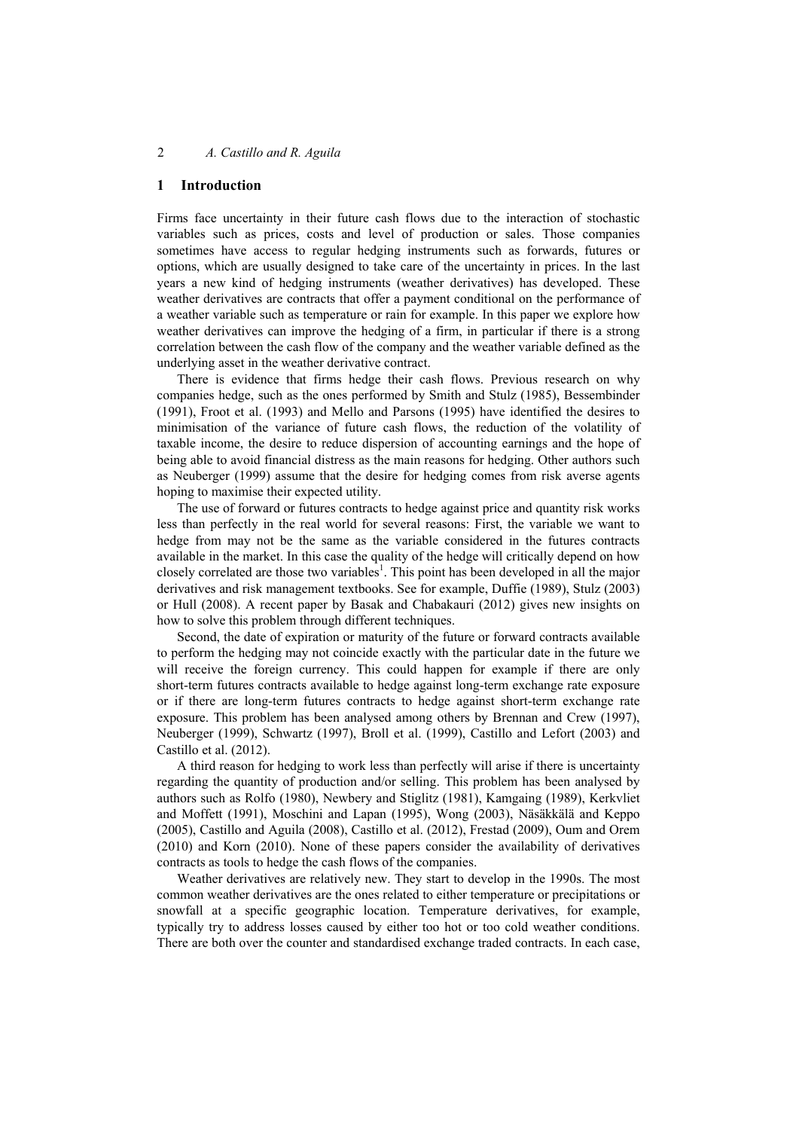#### **1 Introduction**

Firms face uncertainty in their future cash flows due to the interaction of stochastic variables such as prices, costs and level of production or sales. Those companies sometimes have access to regular hedging instruments such as forwards, futures or options, which are usually designed to take care of the uncertainty in prices. In the last years a new kind of hedging instruments (weather derivatives) has developed. These weather derivatives are contracts that offer a payment conditional on the performance of a weather variable such as temperature or rain for example. In this paper we explore how weather derivatives can improve the hedging of a firm, in particular if there is a strong correlation between the cash flow of the company and the weather variable defined as the underlying asset in the weather derivative contract.

There is evidence that firms hedge their cash flows. Previous research on why companies hedge, such as the ones performed by Smith and Stulz (1985), Bessembinder (1991), Froot et al. (1993) and Mello and Parsons (1995) have identified the desires to minimisation of the variance of future cash flows, the reduction of the volatility of taxable income, the desire to reduce dispersion of accounting earnings and the hope of being able to avoid financial distress as the main reasons for hedging. Other authors such as Neuberger (1999) assume that the desire for hedging comes from risk averse agents hoping to maximise their expected utility.

The use of forward or futures contracts to hedge against price and quantity risk works less than perfectly in the real world for several reasons: First, the variable we want to hedge from may not be the same as the variable considered in the futures contracts available in the market. In this case the quality of the hedge will critically depend on how closely correlated are those two variables<sup>1</sup>. This point has been developed in all the major derivatives and risk management textbooks. See for example, Duffie (1989), Stulz (2003) or Hull (2008). A recent paper by Basak and Chabakauri (2012) gives new insights on how to solve this problem through different techniques.

Second, the date of expiration or maturity of the future or forward contracts available to perform the hedging may not coincide exactly with the particular date in the future we will receive the foreign currency. This could happen for example if there are only short-term futures contracts available to hedge against long-term exchange rate exposure or if there are long-term futures contracts to hedge against short-term exchange rate exposure. This problem has been analysed among others by Brennan and Crew (1997), Neuberger (1999), Schwartz (1997), Broll et al. (1999), Castillo and Lefort (2003) and Castillo et al. (2012).

A third reason for hedging to work less than perfectly will arise if there is uncertainty regarding the quantity of production and/or selling. This problem has been analysed by authors such as Rolfo (1980), Newbery and Stiglitz (1981), Kamgaing (1989), Kerkvliet and Moffett (1991), Moschini and Lapan (1995), Wong (2003), Näsäkkälä and Keppo (2005), Castillo and Aguila (2008), Castillo et al. (2012), Frestad (2009), Oum and Orem (2010) and Korn (2010). None of these papers consider the availability of derivatives contracts as tools to hedge the cash flows of the companies.

Weather derivatives are relatively new. They start to develop in the 1990s. The most common weather derivatives are the ones related to either temperature or precipitations or snowfall at a specific geographic location. Temperature derivatives, for example, typically try to address losses caused by either too hot or too cold weather conditions. There are both over the counter and standardised exchange traded contracts. In each case,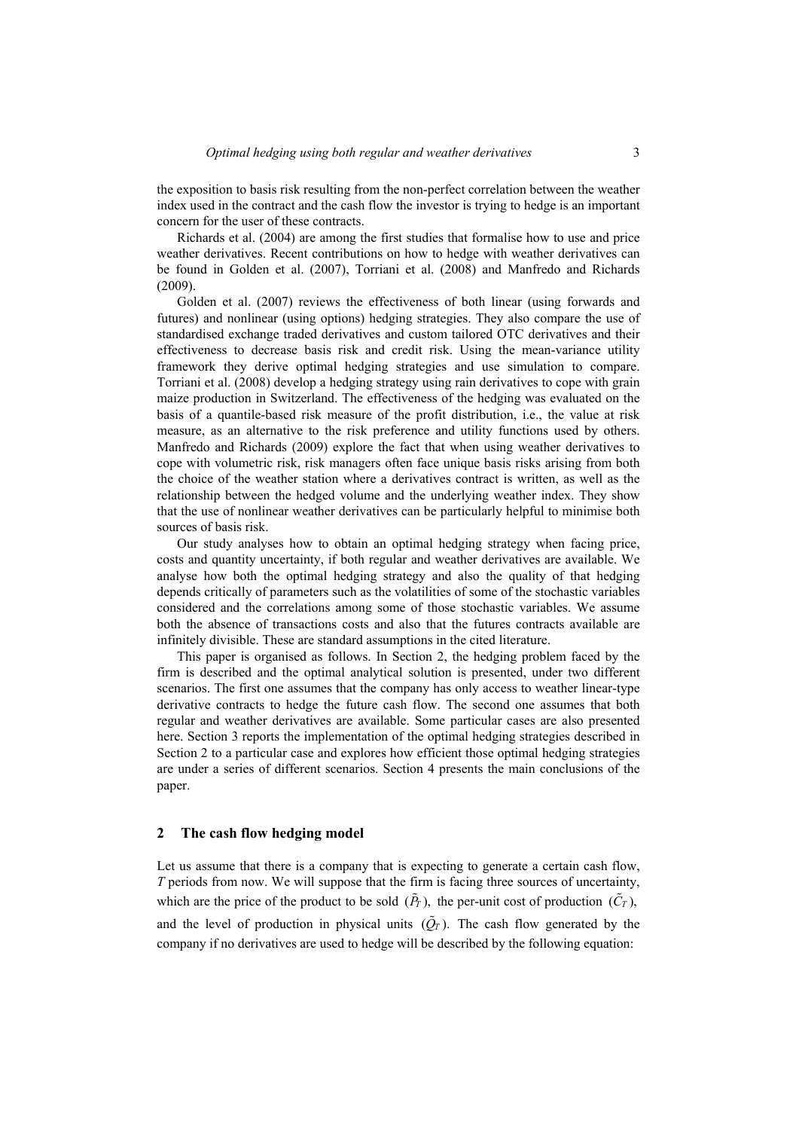the exposition to basis risk resulting from the non-perfect correlation between the weather index used in the contract and the cash flow the investor is trying to hedge is an important concern for the user of these contracts.

Richards et al. (2004) are among the first studies that formalise how to use and price weather derivatives. Recent contributions on how to hedge with weather derivatives can be found in Golden et al. (2007), Torriani et al. (2008) and Manfredo and Richards (2009).

Golden et al. (2007) reviews the effectiveness of both linear (using forwards and futures) and nonlinear (using options) hedging strategies. They also compare the use of standardised exchange traded derivatives and custom tailored OTC derivatives and their effectiveness to decrease basis risk and credit risk. Using the mean-variance utility framework they derive optimal hedging strategies and use simulation to compare. Torriani et al. (2008) develop a hedging strategy using rain derivatives to cope with grain maize production in Switzerland. The effectiveness of the hedging was evaluated on the basis of a quantile-based risk measure of the profit distribution, i.e., the value at risk measure, as an alternative to the risk preference and utility functions used by others. Manfredo and Richards (2009) explore the fact that when using weather derivatives to cope with volumetric risk, risk managers often face unique basis risks arising from both the choice of the weather station where a derivatives contract is written, as well as the relationship between the hedged volume and the underlying weather index. They show that the use of nonlinear weather derivatives can be particularly helpful to minimise both sources of basis risk.

Our study analyses how to obtain an optimal hedging strategy when facing price, costs and quantity uncertainty, if both regular and weather derivatives are available. We analyse how both the optimal hedging strategy and also the quality of that hedging depends critically of parameters such as the volatilities of some of the stochastic variables considered and the correlations among some of those stochastic variables. We assume both the absence of transactions costs and also that the futures contracts available are infinitely divisible. These are standard assumptions in the cited literature.

This paper is organised as follows. In Section 2, the hedging problem faced by the firm is described and the optimal analytical solution is presented, under two different scenarios. The first one assumes that the company has only access to weather linear-type derivative contracts to hedge the future cash flow. The second one assumes that both regular and weather derivatives are available. Some particular cases are also presented here. Section 3 reports the implementation of the optimal hedging strategies described in Section 2 to a particular case and explores how efficient those optimal hedging strategies are under a series of different scenarios. Section 4 presents the main conclusions of the paper.

### **2 The cash flow hedging model**

Let us assume that there is a company that is expecting to generate a certain cash flow, *T* periods from now. We will suppose that the firm is facing three sources of uncertainty, which are the price of the product to be sold  $(\tilde{P}_T)$ , the per-unit cost of production  $(\tilde{C}_T)$ , and the level of production in physical units  $( \tilde{Q}_T )$ . The cash flow generated by the company if no derivatives are used to hedge will be described by the following equation: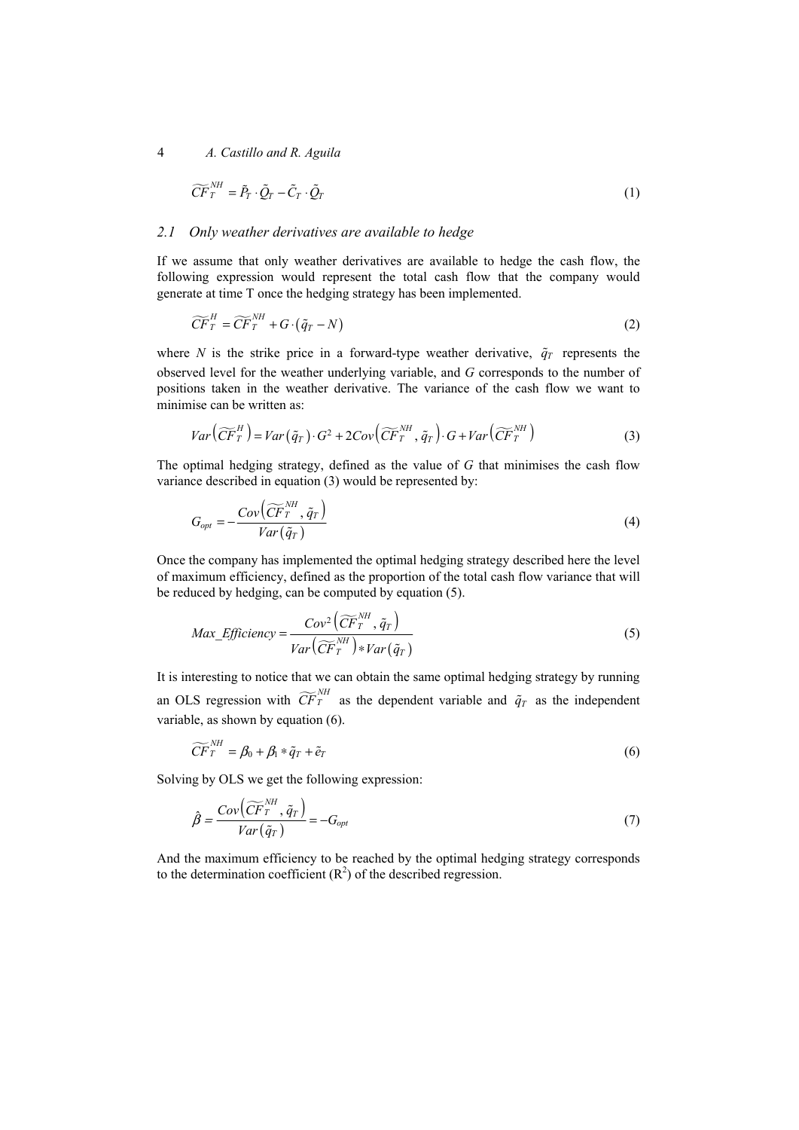$$
\widetilde{CF}^{NH}_T = \widetilde{P}_T \cdot \widetilde{Q}_T - \widetilde{C}_T \cdot \widetilde{Q}_T \tag{1}
$$

### *2.1 Only weather derivatives are available to hedge*

If we assume that only weather derivatives are available to hedge the cash flow, the following expression would represent the total cash flow that the company would generate at time T once the hedging strategy has been implemented.

$$
\widetilde{CF}^H_T = \widetilde{CF}^{NH}_T + G \cdot (\widetilde{q}_T - N) \tag{2}
$$

where *N* is the strike price in a forward-type weather derivative,  $\tilde{q}_T$  represents the observed level for the weather underlying variable, and *G* corresponds to the number of positions taken in the weather derivative. The variance of the cash flow we want to minimise can be written as:

$$
Var\left(\widetilde{CF}^H_T\right) = Var\left(\widetilde{q}_T\right) \cdot G^2 + 2Cov\left(\widetilde{CF}^{NH}_T, \widetilde{q}_T\right) \cdot G + Var\left(\widetilde{CF}^{NH}_T\right) \tag{3}
$$

The optimal hedging strategy, defined as the value of *G* that minimises the cash flow variance described in equation (3) would be represented by:

$$
G_{opt} = -\frac{Cov(\widetilde{CF}_T^{NH}, \tilde{q}_T)}{Var(\tilde{q}_T)}
$$
\n(4)

Once the company has implemented the optimal hedging strategy described here the level of maximum efficiency, defined as the proportion of the total cash flow variance that will be reduced by hedging, can be computed by equation (5).

$$
Max\_Efficiency = \frac{Cov^2(\widetilde{CF}_T^{NH}, \tilde{q}_T)}{Var(\widetilde{CF}_T^{NH}) * Var(\tilde{q}_T)}
$$
(5)

It is interesting to notice that we can obtain the same optimal hedging strategy by running an OLS regression with  $\widetilde{CF}^{NH}_T$  as the dependent variable and  $\tilde{q}_T$  as the independent variable, as shown by equation (6).

$$
\widetilde{CF}^{NH}_T = \beta_0 + \beta_1 * \widetilde{q}_T + \widetilde{e}_T \tag{6}
$$

Solving by OLS we get the following expression:

$$
\hat{\beta} = \frac{Cov(\widetilde{CF}_T^{NH}, \tilde{q}_T)}{Var(\tilde{q}_T)} = -G_{opt}
$$
\n(7)

And the maximum efficiency to be reached by the optimal hedging strategy corresponds to the determination coefficient  $(R^2)$  of the described regression.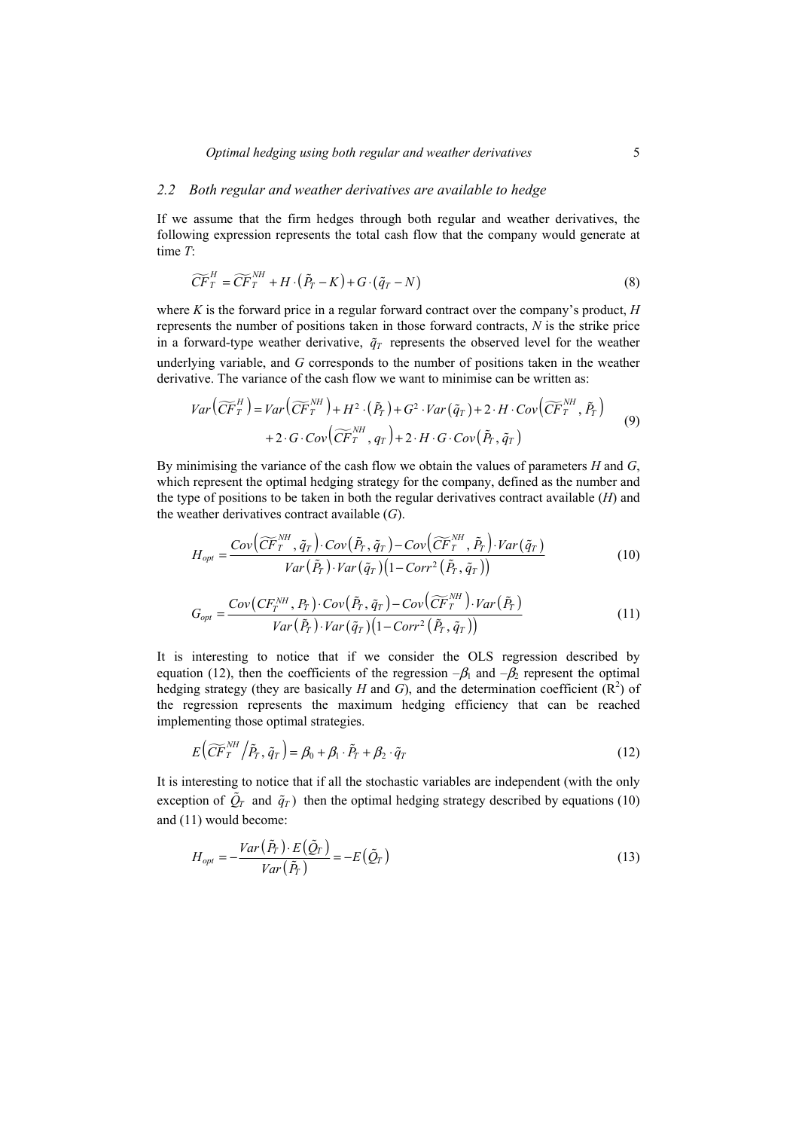### *2.2 Both regular and weather derivatives are available to hedge*

If we assume that the firm hedges through both regular and weather derivatives, the following expression represents the total cash flow that the company would generate at time *T*:

$$
\widetilde{CF}^H_T = \widetilde{CF}^{NH}_T + H \cdot (\widetilde{P}_T - K) + G \cdot (\widetilde{q}_T - N) \tag{8}
$$

where *K* is the forward price in a regular forward contract over the company's product, *H* represents the number of positions taken in those forward contracts, *N* is the strike price in a forward-type weather derivative,  $q_T$  represents the observed level for the weather underlying variable, and *G* corresponds to the number of positions taken in the weather derivative. The variance of the cash flow we want to minimise can be written as:

$$
Var\left(\widetilde{CF}^{H}_{T}\right) = Var\left(\widetilde{CF}^{NH}_{T}\right) + H^{2} \cdot (\tilde{P}_{T}) + G^{2} \cdot Var\left(\tilde{q}_{T}\right) + 2 \cdot H \cdot Cov\left(\widetilde{CF}^{NH}_{T}, \tilde{P}_{T}\right) + 2 \cdot G \cdot Cov\left(\widetilde{CF}^{NH}_{T}, q_{T}\right) + 2 \cdot H \cdot G \cdot Cov\left(\tilde{P}_{T}, \tilde{q}_{T}\right)
$$
(9)

By minimising the variance of the cash flow we obtain the values of parameters *H* and *G*, which represent the optimal hedging strategy for the company, defined as the number and the type of positions to be taken in both the regular derivatives contract available (*H*) and the weather derivatives contract available (*G*).

$$
H_{opt} = \frac{Cov(\widetilde{CF}_T^{NH}, \tilde{q}_T) \cdot Cov(\tilde{P}_T, \tilde{q}_T) - Cov(\widetilde{CF}_T^{NH}, \tilde{P}_T) \cdot Var(\tilde{q}_T)}{Var(\tilde{P}_T) \cdot Var(\tilde{q}_T) (1 - Corr^2(\tilde{P}_T, \tilde{q}_T))}
$$
(10)

$$
G_{opt} = \frac{Cov(CF_T^{NH}, P_T) \cdot Cov(\tilde{P}_T, \tilde{q}_T) - Cov(\widetilde{C}F_T^{NH}) \cdot Var(\tilde{P}_T)}{Var(\tilde{P}_T) \cdot Var(\tilde{q}_T) (1 - Corr^2(\tilde{P}_T, \tilde{q}_T))}
$$
(11)

It is interesting to notice that if we consider the OLS regression described by equation (12), then the coefficients of the regression  $-\beta_1$  and  $-\beta_2$  represent the optimal hedging strategy (they are basically *H* and *G*), and the determination coefficient  $(R^2)$  of the regression represents the maximum hedging efficiency that can be reached implementing those optimal strategies.

$$
E\left(\widetilde{CF}^{NH}_{T}\Big/\widetilde{P}_T,\widetilde{q}_T\right) = \beta_0 + \beta_1 \cdot \widetilde{P}_T + \beta_2 \cdot \widetilde{q}_T
$$
\n(12)

It is interesting to notice that if all the stochastic variables are independent (with the only exception of  $\tilde{Q}_T$  and  $\tilde{q}_T$ ) then the optimal hedging strategy described by equations (10) and (11) would become:

$$
H_{opt} = -\frac{Var(\tilde{P}_T) \cdot E(\tilde{Q}_T)}{Var(\tilde{P}_T)} = -E(\tilde{Q}_T)
$$
\n(13)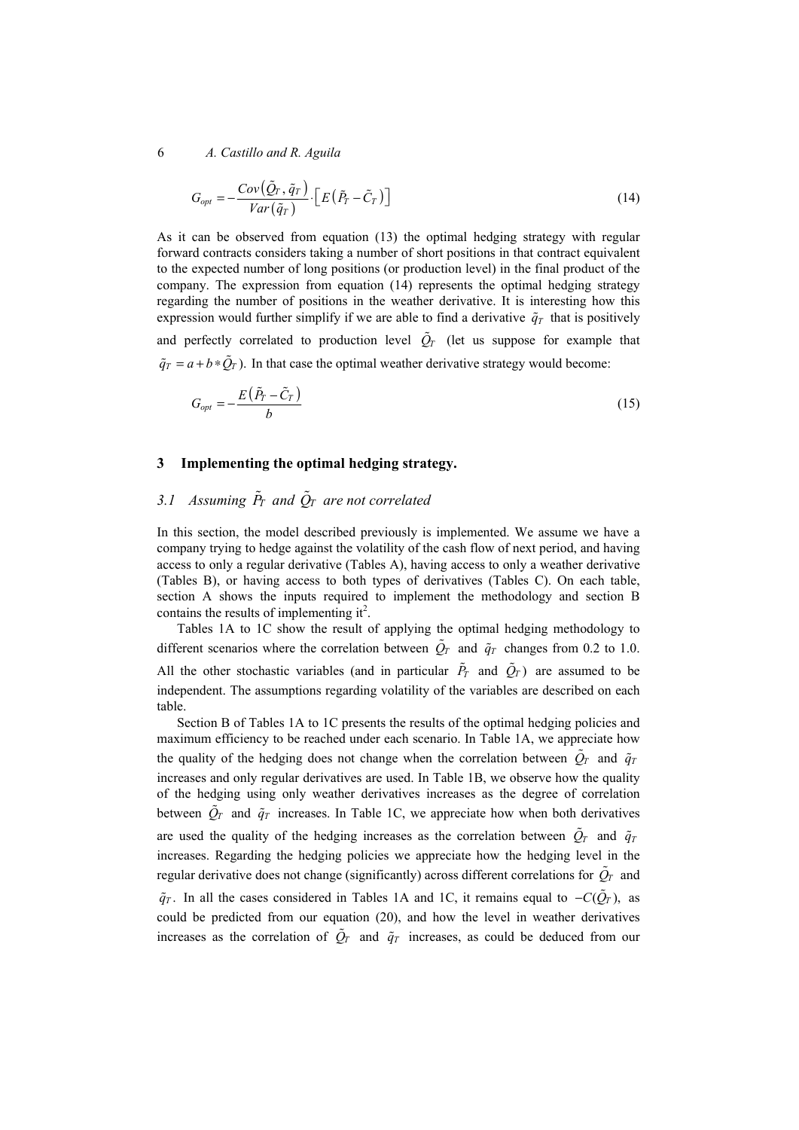$$
G_{opt} = -\frac{Cov(\tilde{Q}_T, \tilde{q}_T)}{Var(\tilde{q}_T)} \cdot \left[E(\tilde{P}_T - \tilde{C}_T)\right]
$$
\n(14)

As it can be observed from equation (13) the optimal hedging strategy with regular forward contracts considers taking a number of short positions in that contract equivalent to the expected number of long positions (or production level) in the final product of the company. The expression from equation (14) represents the optimal hedging strategy regarding the number of positions in the weather derivative. It is interesting how this expression would further simplify if we are able to find a derivative  $\tilde{q}_T$  that is positively and perfectly correlated to production level  $\tilde{Q}_T$  (let us suppose for example that  $\tilde{q}_T = a + b * \tilde{Q}_T$ . In that case the optimal weather derivative strategy would become:

$$
G_{opt} = -\frac{E(\tilde{P}_T - \tilde{C}_T)}{b} \tag{15}
$$

### **3 Implementing the optimal hedging strategy.**

# 3.1 Assuming  $\tilde{P}_T$  and  $\tilde{Q}_T$  are not correlated

In this section, the model described previously is implemented. We assume we have a company trying to hedge against the volatility of the cash flow of next period, and having access to only a regular derivative (Tables A), having access to only a weather derivative (Tables B), or having access to both types of derivatives (Tables C). On each table, section A shows the inputs required to implement the methodology and section B contains the results of implementing  $it^2$ .

Tables 1A to 1C show the result of applying the optimal hedging methodology to different scenarios where the correlation between  $\tilde{Q}_T$  and  $\tilde{q}_T$  changes from 0.2 to 1.0. All the other stochastic variables (and in particular  $\tilde{P}_T$  and  $\tilde{Q}_T$ ) are assumed to be independent. The assumptions regarding volatility of the variables are described on each table.

Section B of Tables 1A to 1C presents the results of the optimal hedging policies and maximum efficiency to be reached under each scenario. In Table 1A, we appreciate how the quality of the hedging does not change when the correlation between  $\tilde{Q}_T$  and  $\tilde{q}_T$ increases and only regular derivatives are used. In Table 1B, we observe how the quality of the hedging using only weather derivatives increases as the degree of correlation between  $\tilde{Q}_T$  and  $\tilde{q}_T$  increases. In Table 1C, we appreciate how when both derivatives are used the quality of the hedging increases as the correlation between  $\tilde{Q}_T$  and  $\tilde{q}_I$ increases. Regarding the hedging policies we appreciate how the hedging level in the regular derivative does not change (significantly) across different correlations for  $\tilde{Q}_T$  and  $\tilde{q}_T$ . In all the cases considered in Tables 1A and 1C, it remains equal to  $-C(\tilde{Q}_T)$ , as could be predicted from our equation (20), and how the level in weather derivatives increases as the correlation of  $\tilde{Q}_T$  and  $\tilde{q}_T$  increases, as could be deduced from our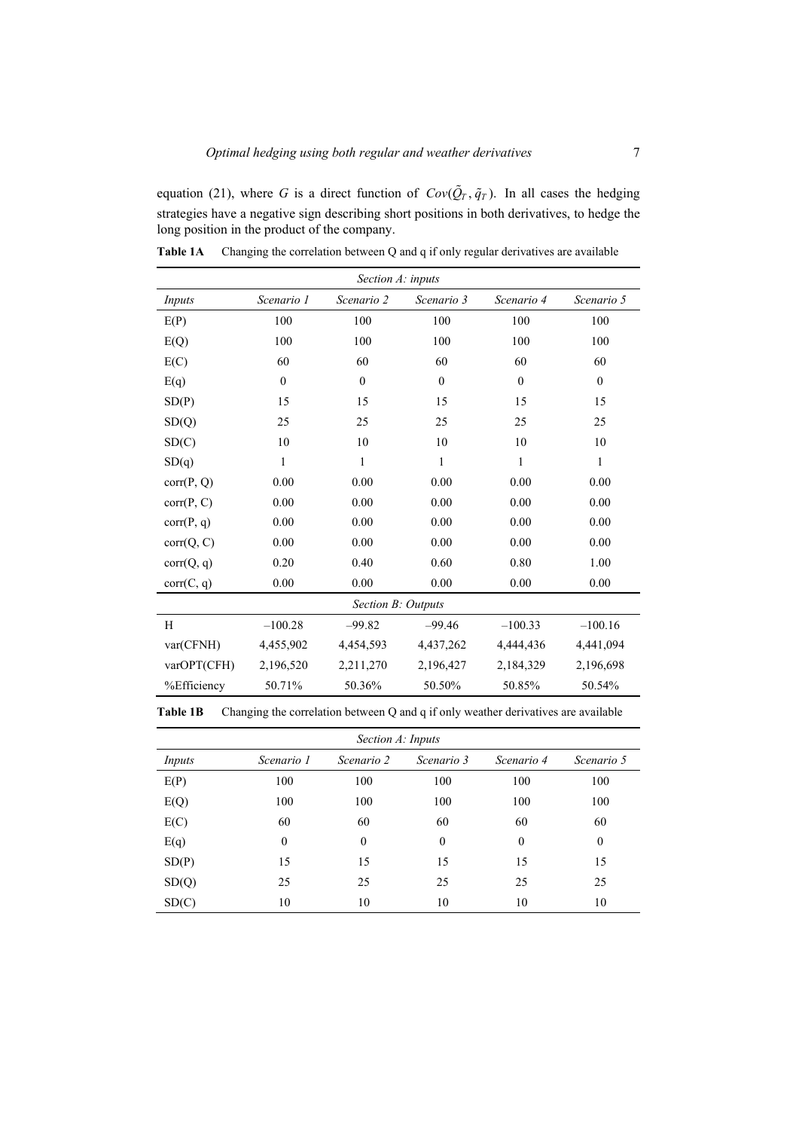equation (21), where *G* is a direct function of  $Cov(\tilde{Q}_T, \tilde{q}_T)$ . In all cases the hedging strategies have a negative sign describing short positions in both derivatives, to hedge the long position in the product of the company.

| Section A: inputs |            |                    |            |            |              |  |
|-------------------|------------|--------------------|------------|------------|--------------|--|
| <b>Inputs</b>     | Scenario 1 | Scenario 2         | Scenario 3 | Scenario 4 | Scenario 5   |  |
| E(P)              | 100        | 100                | 100        | 100        | 100          |  |
| E(Q)              | 100        | 100                | 100        | 100        | 100          |  |
| E(C)              | 60         | 60                 | 60         | 60         | 60           |  |
| E(q)              | $\theta$   | $\theta$           | $\theta$   | $\theta$   | $\mathbf{0}$ |  |
| SD(P)             | 15         | 15                 | 15         | 15         | 15           |  |
| SD(Q)             | 25         | 25                 | 25         | 25         | 25           |  |
| SD(C)             | 10         | 10                 | 10         | 10         | 10           |  |
| SD(q)             | 1          | 1                  | 1          | 1          | $\mathbf{1}$ |  |
| corr(P, Q)        | 0.00       | 0.00               | 0.00       | 0.00       | 0.00         |  |
| corr(P, C)        | 0.00       | 0.00               | 0.00       | 0.00       | 0.00         |  |
| corr(P, q)        | 0.00       | $0.00\,$           | $0.00\,$   | 0.00       | 0.00         |  |
| corr(Q, C)        | 0.00       | 0.00               | 0.00       | 0.00       | 0.00         |  |
| corr(Q, q)        | 0.20       | 0.40               | 0.60       | 0.80       | 1.00         |  |
| corr(C, q)        | 0.00       | 0.00               | 0.00       | 0.00       | 0.00         |  |
|                   |            | Section B: Outputs |            |            |              |  |
| H                 | $-100.28$  | $-99.82$           | $-99.46$   | $-100.33$  | $-100.16$    |  |
| var(CFNH)         | 4,455,902  | 4,454,593          | 4,437,262  | 4,444,436  | 4,441,094    |  |
| varOPT(CFH)       | 2,196,520  | 2,211,270          | 2,196,427  | 2,184,329  | 2,196,698    |  |
| %Efficiency       | 50.71%     | 50.36%             | 50.50%     | 50.85%     | 50.54%       |  |

**Table 1A** Changing the correlation between Q and q if only regular derivatives are available

**Table 1B** Changing the correlation between Q and q if only weather derivatives are available

| Section A: Inputs |              |              |                  |            |            |  |
|-------------------|--------------|--------------|------------------|------------|------------|--|
| Inputs            | Scenario 1   | Scenario 2   | Scenario 3       | Scenario 4 | Scenario 5 |  |
| E(P)              | 100          | 100          | 100              | 100        | 100        |  |
| E(Q)              | 100          | 100          | 100              | 100        | 100        |  |
| E(C)              | 60           | 60           | 60               | 60         | 60         |  |
| E(q)              | $\mathbf{0}$ | $\mathbf{0}$ | $\boldsymbol{0}$ | $\theta$   | $\theta$   |  |
| SD(P)             | 15           | 15           | 15               | 15         | 15         |  |
| SD(Q)             | 25           | 25           | 25               | 25         | 25         |  |
| SD(C)             | 10           | 10           | 10               | 10         | 10         |  |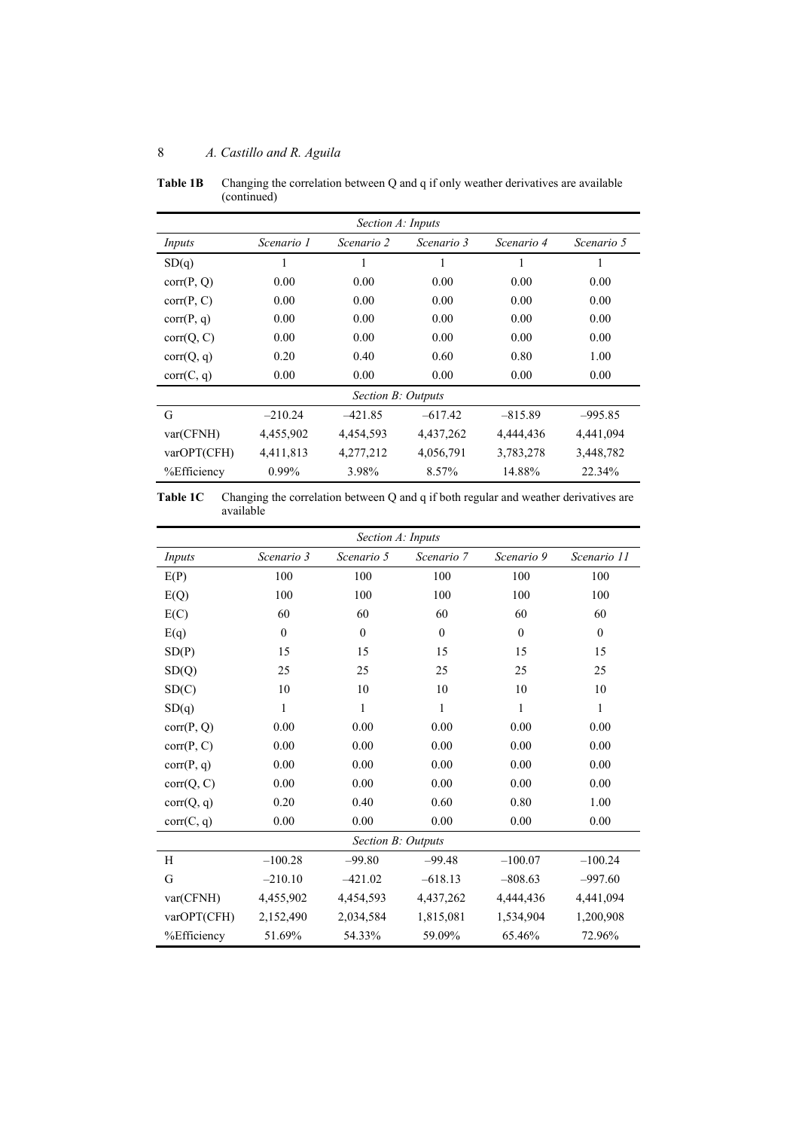| Section A: Inputs |            |                    |            |            |            |  |
|-------------------|------------|--------------------|------------|------------|------------|--|
| Inputs            | Scenario 1 | Scenario 2         | Scenario 3 | Scenario 4 | Scenario 5 |  |
| SD(q)             | 1          | 1                  | 1          | 1          | 1          |  |
| corr(P, Q)        | 0.00       | 0.00               | 0.00       | 0.00       | 0.00       |  |
| corr(P, C)        | 0.00       | 0.00               | 0.00       | 0.00       | 0.00       |  |
| corr(P, q)        | 0.00       | 0.00               | 0.00       | 0.00       | 0.00       |  |
| corr(Q, C)        | 0.00       | 0.00               | 0.00       | 0.00       | 0.00       |  |
| corr(Q, q)        | 0.20       | 0.40               | 0.60       | 0.80       | 1.00       |  |
| corr(C, q)        | 0.00       | 0.00               | 0.00       | 0.00       | 0.00       |  |
|                   |            | Section B: Outputs |            |            |            |  |
| G                 | $-210.24$  | $-421.85$          | $-617.42$  | $-815.89$  | $-995.85$  |  |
| var(CFNH)         | 4,455,902  | 4,454,593          | 4,437,262  | 4,444,436  | 4,441,094  |  |
| varOPT(CFH)       | 4,411,813  | 4,277,212          | 4,056,791  | 3,783,278  | 3,448,782  |  |
| %Efficiency       | $0.99\%$   | 3.98%              | 8.57%      | 14.88%     | 22.34%     |  |

**Table 1B** Changing the correlation between Q and q if only weather derivatives are available (continued)

**Table 1C** Changing the correlation between Q and q if both regular and weather derivatives are available

| Section A: Inputs  |              |              |              |              |              |  |  |  |
|--------------------|--------------|--------------|--------------|--------------|--------------|--|--|--|
| <b>Inputs</b>      | Scenario 3   | Scenario 5   | Scenario 7   | Scenario 9   | Scenario 11  |  |  |  |
| E(P)               | 100          | 100          | 100          | 100          | 100          |  |  |  |
| E(Q)               | 100          | 100          | 100          | 100          | 100          |  |  |  |
| E(C)               | 60           | 60           | 60           | 60           | 60           |  |  |  |
| E(q)               | $\theta$     | $\theta$     | $\theta$     | $\mathbf{0}$ | $\mathbf{0}$ |  |  |  |
| SD(P)              | 15           | 15           | 15           | 15           | 15           |  |  |  |
| SD(Q)              | 25           | 25           | 25           | 25           | 25           |  |  |  |
| SD(C)              | 10           | 10           | 10           | 10           | 10           |  |  |  |
| SD(q)              | $\mathbf{1}$ | $\mathbf{1}$ | $\mathbf{1}$ | $\mathbf{1}$ | $\mathbf{1}$ |  |  |  |
| corr(P, Q)         | 0.00         | 0.00         | 0.00         | 0.00         | 0.00         |  |  |  |
| corr(P, C)         | 0.00         | 0.00         | 0.00         | 0.00         | 0.00         |  |  |  |
| corr(P, q)         | 0.00         | 0.00         | 0.00         | 0.00         | 0.00         |  |  |  |
| corr(Q, C)         | 0.00         | 0.00         | 0.00         | 0.00         | 0.00         |  |  |  |
| corr(Q, q)         | 0.20         | 0.40         | 0.60         | 0.80         | 1.00         |  |  |  |
| corr(C, q)         | 0.00         | 0.00         | 0.00         | 0.00         | 0.00         |  |  |  |
| Section B: Outputs |              |              |              |              |              |  |  |  |
| H                  | $-100.28$    | $-99.80$     | $-99.48$     | $-100.07$    | $-100.24$    |  |  |  |
| G                  | $-210.10$    | $-421.02$    | $-618.13$    | $-808.63$    | $-997.60$    |  |  |  |
| var(CFNH)          | 4,455,902    | 4,454,593    | 4,437,262    | 4,444,436    | 4,441,094    |  |  |  |
| varOPT(CFH)        | 2,152,490    | 2,034,584    | 1,815,081    | 1,534,904    | 1,200,908    |  |  |  |
| %Efficiency        | 51.69%       | 54.33%       | 59.09%       | 65.46%       | 72.96%       |  |  |  |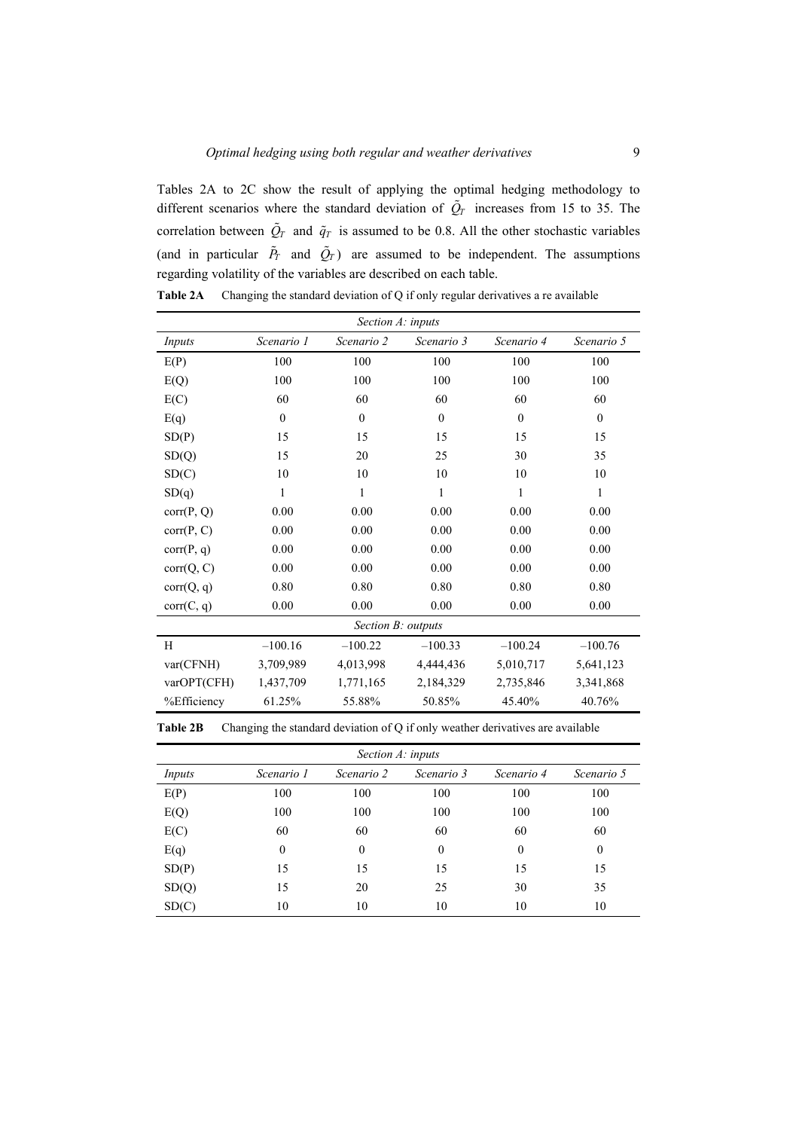Tables 2A to 2C show the result of applying the optimal hedging methodology to different scenarios where the standard deviation of  $\tilde{Q}_T$  increases from 15 to 35. The correlation between  $\tilde{Q}_T$  and  $\tilde{q}_T$  is assumed to be 0.8. All the other stochastic variables (and in particular  $\tilde{P}_T$  and  $\tilde{Q}_T$ ) are assumed to be independent. The assumptions regarding volatility of the variables are described on each table.

| Section A: inputs |            |                    |            |              |              |  |
|-------------------|------------|--------------------|------------|--------------|--------------|--|
| <b>Inputs</b>     | Scenario 1 | Scenario 2         | Scenario 3 | Scenario 4   | Scenario 5   |  |
| E(P)              | 100        | 100                | 100        | 100          | 100          |  |
| E(Q)              | 100        | 100                | 100        | 100          | 100          |  |
| E(C)              | 60         | 60                 | 60         | 60           | 60           |  |
| E(q)              | $\theta$   | $\theta$           | $\theta$   | $\mathbf{0}$ | $\theta$     |  |
| SD(P)             | 15         | 15                 | 15         | 15           | 15           |  |
| SD(Q)             | 15         | 20                 | 25         | 30           | 35           |  |
| SD(C)             | 10         | 10                 | 10         | 10           | 10           |  |
| SD(q)             | 1          | 1                  | 1          | 1            | $\mathbf{1}$ |  |
| corr(P, Q)        | 0.00       | 0.00               | 0.00       | 0.00         | 0.00         |  |
| corr(P, C)        | 0.00       | 0.00               | 0.00       | 0.00         | 0.00         |  |
| corr(P, q)        | 0.00       | 0.00               | 0.00       | 0.00         | 0.00         |  |
| corr(Q, C)        | 0.00       | 0.00               | 0.00       | 0.00         | 0.00         |  |
| corr(Q, q)        | 0.80       | 0.80               | 0.80       | 0.80         | 0.80         |  |
| corr(C, q)        | 0.00       | 0.00               | 0.00       | 0.00         | 0.00         |  |
|                   |            | Section B: outputs |            |              |              |  |
| H                 | $-100.16$  | $-100.22$          | $-100.33$  | $-100.24$    | $-100.76$    |  |
| var(CFNH)         | 3,709,989  | 4,013,998          | 4,444,436  | 5,010,717    | 5,641,123    |  |
| varOPT(CFH)       | 1,437,709  | 1,771,165          | 2,184,329  | 2,735,846    | 3,341,868    |  |
| %Efficiency       | 61.25%     | 55.88%             | 50.85%     | 45.40%       | 40.76%       |  |

**Table 2A** Changing the standard deviation of Q if only regular derivatives a re available

**Table 2B** Changing the standard deviation of Q if only weather derivatives are available

| Section A: inputs |            |              |              |            |            |  |
|-------------------|------------|--------------|--------------|------------|------------|--|
| Inputs            | Scenario 1 | Scenario 2   | Scenario 3   | Scenario 4 | Scenario 5 |  |
| E(P)              | 100        | 100          | 100          | 100        | 100        |  |
| E(Q)              | 100        | 100          | 100          | 100        | 100        |  |
| E(C)              | 60         | 60           | 60           | 60         | 60         |  |
| E(q)              | $\theta$   | $\mathbf{0}$ | $\mathbf{0}$ | $\theta$   | $\theta$   |  |
| SD(P)             | 15         | 15           | 15           | 15         | 15         |  |
| SD(Q)             | 15         | 20           | 25           | 30         | 35         |  |
| SD(C)             | 10         | 10           | 10           | 10         | 10         |  |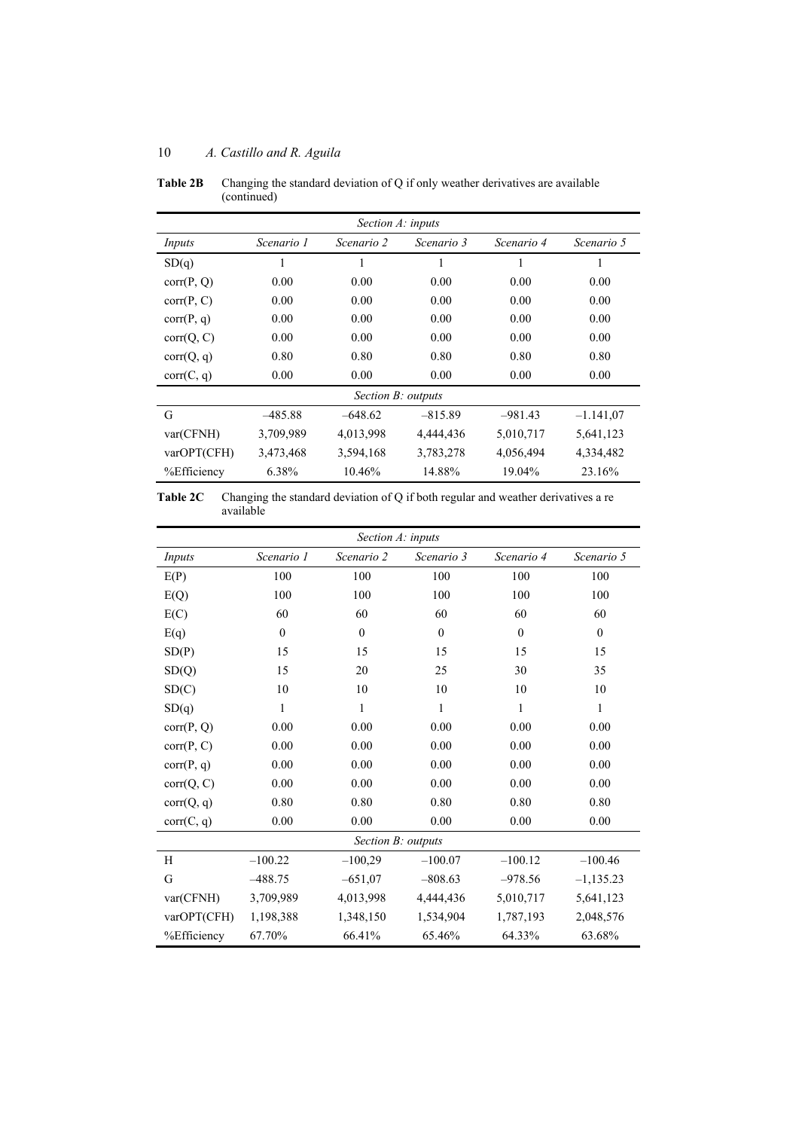| Section A: inputs  |            |            |            |            |             |  |  |
|--------------------|------------|------------|------------|------------|-------------|--|--|
| Inputs             | Scenario 1 | Scenario 2 | Scenario 3 | Scenario 4 | Scenario 5  |  |  |
| SD(q)              | 1          | 1          | 1          | 1          | 1           |  |  |
| corr(P, Q)         | 0.00       | 0.00       | 0.00       | 0.00       | 0.00        |  |  |
| corr(P, C)         | 0.00       | 0.00       | 0.00       | 0.00       | 0.00        |  |  |
| corr(P, q)         | 0.00       | 0.00       | 0.00       | 0.00       | 0.00        |  |  |
| corr(Q, C)         | 0.00       | 0.00       | 0.00       | 0.00       | 0.00        |  |  |
| corr(Q, q)         | 0.80       | 0.80       | 0.80       | 0.80       | 0.80        |  |  |
| corr(C, q)         | 0.00       | 0.00       | 0.00       | 0.00       | 0.00        |  |  |
| Section B: outputs |            |            |            |            |             |  |  |
| G                  | $-485.88$  | $-648.62$  | $-815.89$  | $-981.43$  | $-1.141,07$ |  |  |
| var(CFNH)          | 3,709,989  | 4,013,998  | 4,444,436  | 5,010,717  | 5,641,123   |  |  |
| varOPT(CFH)        | 3,473,468  | 3,594,168  | 3,783,278  | 4,056,494  | 4,334,482   |  |  |
| %Efficiency        | 6.38%      | 10.46%     | 14.88%     | 19.04%     | 23.16%      |  |  |

**Table 2B** Changing the standard deviation of Q if only weather derivatives are available (continued)

**Table 2C** Changing the standard deviation of Q if both regular and weather derivatives a re available

|                    |              | Section A: inputs |            |            |              |  |  |
|--------------------|--------------|-------------------|------------|------------|--------------|--|--|
| <b>Inputs</b>      | Scenario 1   | Scenario 2        | Scenario 3 | Scenario 4 | Scenario 5   |  |  |
| E(P)               | 100          | 100               | 100        | 100        | 100          |  |  |
| E(Q)               | 100          | 100               | 100        | 100        | 100          |  |  |
| E(C)               | 60           | 60                | 60         | 60         | 60           |  |  |
| E(q)               | $\mathbf{0}$ | $\theta$          | $\theta$   | $\theta$   | $\mathbf{0}$ |  |  |
| SD(P)              | 15           | 15                | 15         | 15         | 15           |  |  |
| SD(Q)              | 15           | 20                | 25         | 30         | 35           |  |  |
| SD(C)              | 10           | 10                | 10         | 10         | 10           |  |  |
| SD(q)              | 1            | 1                 | 1          | 1          | $\mathbf{1}$ |  |  |
| corr(P, Q)         | 0.00         | 0.00              | 0.00       | 0.00       | 0.00         |  |  |
| corr(P, C)         | $0.00\,$     | 0.00              | 0.00       | 0.00       | 0.00         |  |  |
| corr(P, q)         | 0.00         | 0.00              | 0.00       | 0.00       | 0.00         |  |  |
| corr(Q, C)         | 0.00         | 0.00              | 0.00       | 0.00       | 0.00         |  |  |
| corr(Q, q)         | $0.80\,$     | $0.80\,$          | $0.80\,$   | $0.80\,$   | $0.80\,$     |  |  |
| corr(C, q)         | 0.00         | 0.00              | 0.00       | 0.00       | 0.00         |  |  |
| Section B: outputs |              |                   |            |            |              |  |  |
| H                  | $-100.22$    | $-100,29$         | $-100.07$  | $-100.12$  | $-100.46$    |  |  |
| G                  | $-488.75$    | $-651,07$         | $-808.63$  | $-978.56$  | $-1,135.23$  |  |  |
| var(CFNH)          | 3,709,989    | 4,013,998         | 4,444,436  | 5,010,717  | 5,641,123    |  |  |
| varOPT(CFH)        | 1,198,388    | 1,348,150         | 1,534,904  | 1,787,193  | 2,048,576    |  |  |
| %Efficiency        | 67.70%       | 66.41%            | 65.46%     | 64.33%     | 63.68%       |  |  |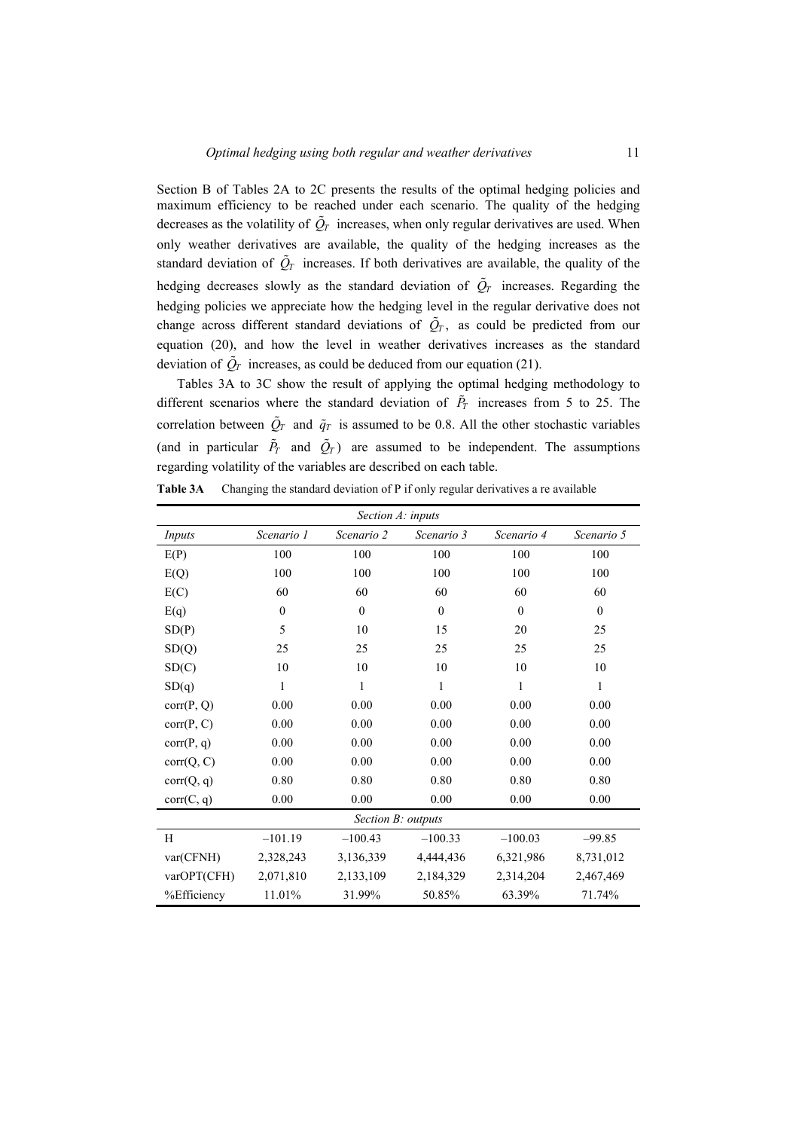Section B of Tables 2A to 2C presents the results of the optimal hedging policies and maximum efficiency to be reached under each scenario. The quality of the hedging decreases as the volatility of  $\tilde{Q}_T$  increases, when only regular derivatives are used. When only weather derivatives are available, the quality of the hedging increases as the standard deviation of  $\tilde{Q}_T$  increases. If both derivatives are available, the quality of the hedging decreases slowly as the standard deviation of  $\tilde{Q}_T$  increases. Regarding the hedging policies we appreciate how the hedging level in the regular derivative does not change across different standard deviations of  $\tilde{Q}_T$ , as could be predicted from our equation (20), and how the level in weather derivatives increases as the standard deviation of  $\tilde{Q}_T$  increases, as could be deduced from our equation (21).

Tables 3A to 3C show the result of applying the optimal hedging methodology to different scenarios where the standard deviation of  $\tilde{P}_T$  increases from 5 to 25. The correlation between  $\tilde{Q}_T$  and  $\tilde{q}_T$  is assumed to be 0.8. All the other stochastic variables (and in particular  $\tilde{P}_T$  and  $\tilde{Q}_T$ ) are assumed to be independent. The assumptions regarding volatility of the variables are described on each table.

| Section A: inputs  |            |            |              |            |            |  |  |
|--------------------|------------|------------|--------------|------------|------------|--|--|
| <b>Inputs</b>      | Scenario 1 | Scenario 2 | Scenario 3   | Scenario 4 | Scenario 5 |  |  |
| E(P)               | 100        | 100        | 100          | 100        | 100        |  |  |
| E(Q)               | 100        | 100        | 100          | 100        | 100        |  |  |
| E(C)               | 60         | 60         | 60           | 60         | 60         |  |  |
| E(q)               | $\theta$   | $\theta$   | $\mathbf{0}$ | $\theta$   | $\theta$   |  |  |
| SD(P)              | 5          | 10         | 15           | 20         | 25         |  |  |
| SD(Q)              | 25         | 25         | 25           | 25         | 25         |  |  |
| SD(C)              | 10         | 10         | 10           | 10         | 10         |  |  |
| SD(q)              | 1          | 1          | 1            | 1          | 1          |  |  |
| corr(P, Q)         | 0.00       | 0.00       | 0.00         | 0.00       | 0.00       |  |  |
| corr(P, C)         | 0.00       | 0.00       | 0.00         | 0.00       | 0.00       |  |  |
| corr(P, q)         | 0.00       | 0.00       | 0.00         | 0.00       | 0.00       |  |  |
| corr(Q, C)         | 0.00       | 0.00       | 0.00         | 0.00       | 0.00       |  |  |
| corr(Q, q)         | 0.80       | 0.80       | 0.80         | 0.80       | 0.80       |  |  |
| corr(C, q)         | 0.00       | 0.00       | 0.00         | 0.00       | 0.00       |  |  |
| Section B: outputs |            |            |              |            |            |  |  |
| H                  | $-101.19$  | $-100.43$  | $-100.33$    | $-100.03$  | $-99.85$   |  |  |
| var(CFNH)          | 2,328,243  | 3,136,339  | 4,444,436    | 6,321,986  | 8,731,012  |  |  |
| varOPT(CFH)        | 2,071,810  | 2,133,109  | 2,184,329    | 2,314,204  | 2,467,469  |  |  |
| %Efficiency        | 11.01%     | 31.99%     | 50.85%       | 63.39%     | 71.74%     |  |  |

**Table 3A** Changing the standard deviation of P if only regular derivatives a re available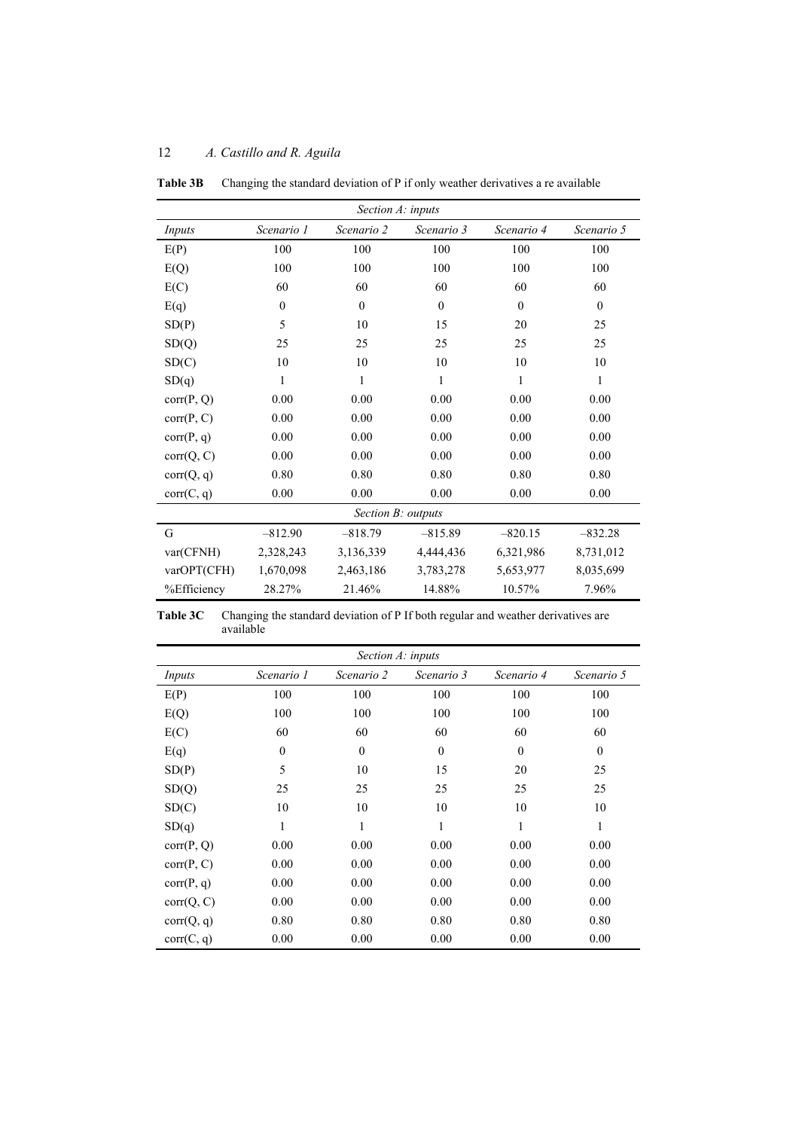|  | 12 A. Castillo and R. Aguila |
|--|------------------------------|
|--|------------------------------|

| Section A: inputs |            |                    |            |            |            |  |
|-------------------|------------|--------------------|------------|------------|------------|--|
| <b>Inputs</b>     | Scenario 1 | Scenario 2         | Scenario 3 | Scenario 4 | Scenario 5 |  |
| E(P)              | 100        | 100                | 100        | 100        | 100        |  |
| E(Q)              | 100        | 100                | 100        | 100        | 100        |  |
| E(C)              | 60         | 60                 | 60         | 60         | 60         |  |
| E(q)              | $\theta$   | $\theta$           | $\theta$   | $\theta$   | $\theta$   |  |
| SD(P)             | 5          | 10                 | 15         | 20         | 25         |  |
| SD(Q)             | 25         | 25                 | 25         | 25         | 25         |  |
| SD(C)             | 10         | 10                 | 10         | 10         | 10         |  |
| SD(q)             | 1          | 1                  | 1          | 1          | 1          |  |
| corr(P, Q)        | 0.00       | 0.00               | 0.00       | 0.00       | 0.00       |  |
| corr(P, C)        | 0.00       | 0.00               | 0.00       | 0.00       | 0.00       |  |
| corr(P, q)        | 0.00       | 0.00               | 0.00       | 0.00       | 0.00       |  |
| corr(Q, C)        | 0.00       | 0.00               | 0.00       | 0.00       | 0.00       |  |
| corr(Q, q)        | 0.80       | 0.80               | 0.80       | 0.80       | 0.80       |  |
| corr(C, q)        | 0.00       | 0.00               | 0.00       | 0.00       | 0.00       |  |
|                   |            | Section B: outputs |            |            |            |  |
| ${\bf G}$         | $-812.90$  | $-818.79$          | $-815.89$  | $-820.15$  | $-832.28$  |  |
| var(CFNH)         | 2,328,243  | 3,136,339          | 4,444,436  | 6,321,986  | 8,731,012  |  |
| varOPT(CFH)       | 1,670,098  | 2,463,186          | 3,783,278  | 5,653,977  | 8,035,699  |  |
| %Efficiency       | 28.27%     | 21.46%             | 14.88%     | 10.57%     | 7.96%      |  |

**Table 3B** Changing the standard deviation of P if only weather derivatives a re available

**Table 3C** Changing the standard deviation of P If both regular and weather derivatives are available

|            | Section A: inputs |            |                  |                  |                  |  |  |
|------------|-------------------|------------|------------------|------------------|------------------|--|--|
| Inputs     | Scenario 1        | Scenario 2 | Scenario 3       | Scenario 4       | Scenario 5       |  |  |
| E(P)       | 100               | 100        | 100              | 100              | 100              |  |  |
| E(Q)       | 100               | 100        | 100              | 100              | 100              |  |  |
| E(C)       | 60                | 60         | 60               | 60               | 60               |  |  |
| E(q)       | $\boldsymbol{0}$  | $\theta$   | $\boldsymbol{0}$ | $\boldsymbol{0}$ | $\boldsymbol{0}$ |  |  |
| SD(P)      | 5                 | 10         | 15               | 20               | 25               |  |  |
| SD(Q)      | 25                | 25         | 25               | 25               | 25               |  |  |
| SD(C)      | 10                | 10         | 10               | 10               | 10               |  |  |
| SD(q)      | 1                 | 1          | 1                | 1                | $\mathbf{1}$     |  |  |
| corr(P, Q) | 0.00              | 0.00       | 0.00             | 0.00             | 0.00             |  |  |
| corr(P, C) | 0.00              | 0.00       | 0.00             | 0.00             | 0.00             |  |  |
| corr(P, q) | 0.00              | 0.00       | 0.00             | 0.00             | 0.00             |  |  |
| corr(Q, C) | 0.00              | 0.00       | 0.00             | 0.00             | 0.00             |  |  |
| corr(Q, q) | 0.80              | 0.80       | 0.80             | 0.80             | 0.80             |  |  |
| corr(C, q) | 0.00              | 0.00       | 0.00             | 0.00             | 0.00             |  |  |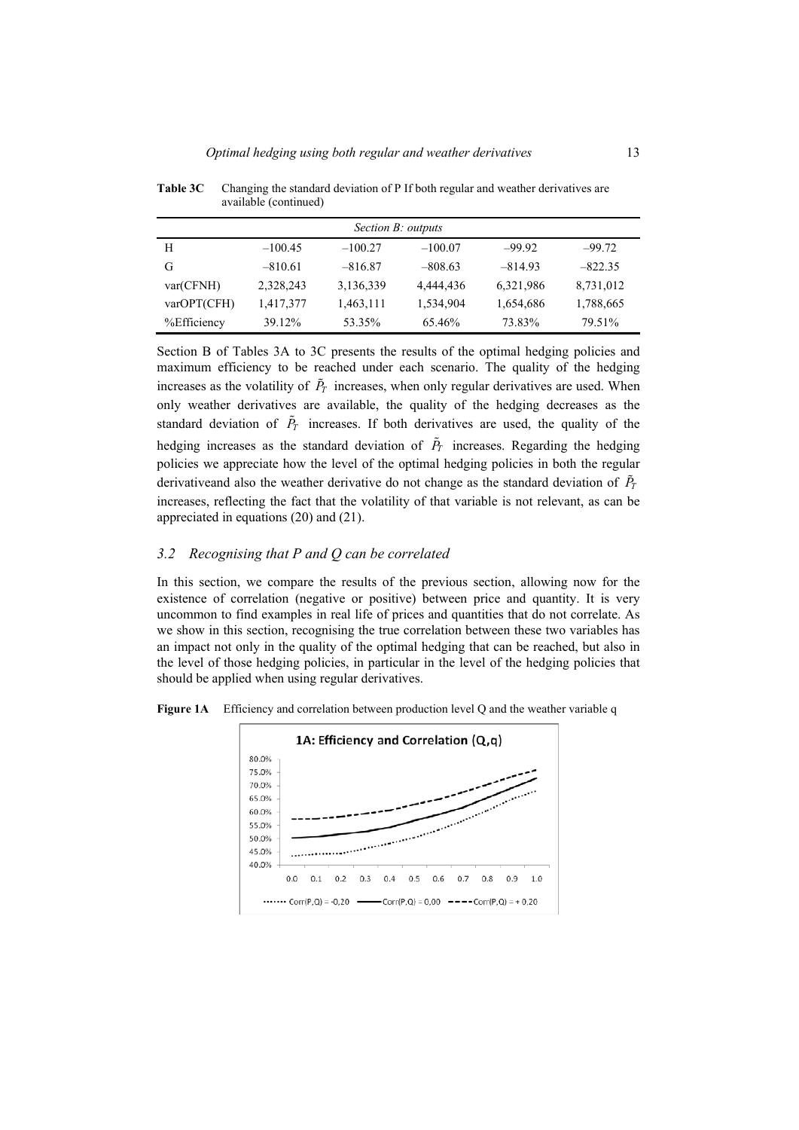| Section B: outputs |           |           |           |           |           |
|--------------------|-----------|-----------|-----------|-----------|-----------|
| H                  | $-100.45$ | $-100.27$ | $-100.07$ | $-99.92$  | $-99.72$  |
| G                  | $-810.61$ | $-816.87$ | $-808.63$ | $-814.93$ | $-822.35$ |
| var(CFNH)          | 2,328,243 | 3,136,339 | 4,444,436 | 6,321,986 | 8,731,012 |
| varOPT(CFH)        | 1,417,377 | 1,463,111 | 1,534,904 | 1,654,686 | 1,788,665 |
| %Efficiency        | 39.12%    | 53.35%    | 65.46%    | 73.83%    | 79.51%    |

**Table 3C** Changing the standard deviation of P If both regular and weather derivatives are available (continued)

Section B of Tables 3A to 3C presents the results of the optimal hedging policies and maximum efficiency to be reached under each scenario. The quality of the hedging increases as the volatility of  $\tilde{P}_T$  increases, when only regular derivatives are used. When only weather derivatives are available, the quality of the hedging decreases as the standard deviation of  $\tilde{P}_T$  increases. If both derivatives are used, the quality of the hedging increases as the standard deviation of  $\tilde{P}_T$  increases. Regarding the hedging policies we appreciate how the level of the optimal hedging policies in both the regular derivativeand also the weather derivative do not change as the standard deviation of  $\tilde{P}_I$ increases, reflecting the fact that the volatility of that variable is not relevant, as can be appreciated in equations (20) and (21).

### *3.2 Recognising that P and Q can be correlated*

In this section, we compare the results of the previous section, allowing now for the existence of correlation (negative or positive) between price and quantity. It is very uncommon to find examples in real life of prices and quantities that do not correlate. As we show in this section, recognising the true correlation between these two variables has an impact not only in the quality of the optimal hedging that can be reached, but also in the level of those hedging policies, in particular in the level of the hedging policies that should be applied when using regular derivatives.



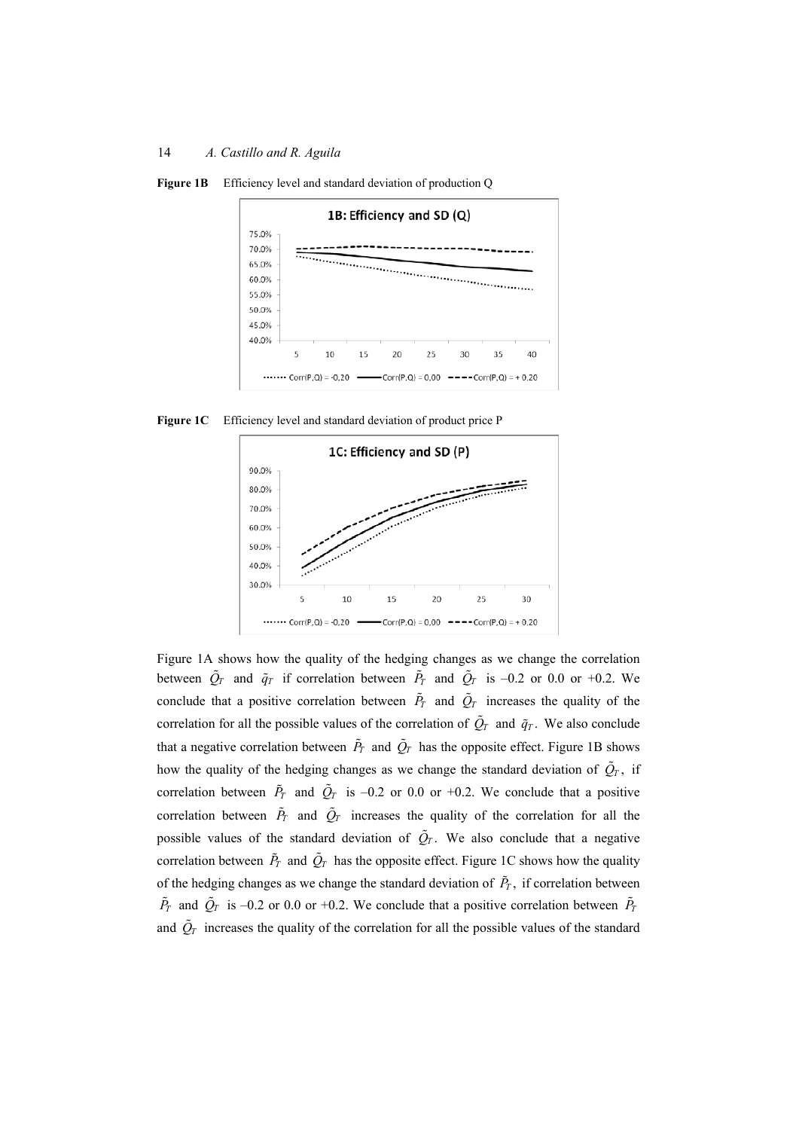

Figure 1B Efficiency level and standard deviation of production Q

**Figure 1C** Efficiency level and standard deviation of product price P



Figure 1A shows how the quality of the hedging changes as we change the correlation between  $\tilde{Q}_T$  and  $\tilde{q}_T$  if correlation between  $\tilde{P}_T$  and  $\tilde{Q}_T$  is -0.2 or 0.0 or +0.2. We conclude that a positive correlation between  $\tilde{P}_T$  and  $\tilde{Q}_T$  increases the quality of the correlation for all the possible values of the correlation of  $\tilde{Q}_T$  and  $\tilde{q}_T$ . We also conclude that a negative correlation between  $\tilde{P}_T$  and  $\tilde{Q}_T$  has the opposite effect. Figure 1B shows how the quality of the hedging changes as we change the standard deviation of  $\tilde{Q}_T$ , if correlation between  $\tilde{P}_T$  and  $\tilde{Q}_T$  is -0.2 or 0.0 or +0.2. We conclude that a positive correlation between  $\tilde{P}_T$  and  $\tilde{Q}_T$  increases the quality of the correlation for all the possible values of the standard deviation of  $\tilde{Q}_T$ . We also conclude that a negative correlation between  $\tilde{P}_T$  and  $\tilde{Q}_T$  has the opposite effect. Figure 1C shows how the quality of the hedging changes as we change the standard deviation of  $\tilde{P}_T$ , if correlation between  $\tilde{P}_T$  and  $\tilde{Q}_T$  is -0.2 or 0.0 or +0.2. We conclude that a positive correlation between  $\tilde{P}_T$ and  $\tilde{Q}_T$  increases the quality of the correlation for all the possible values of the standard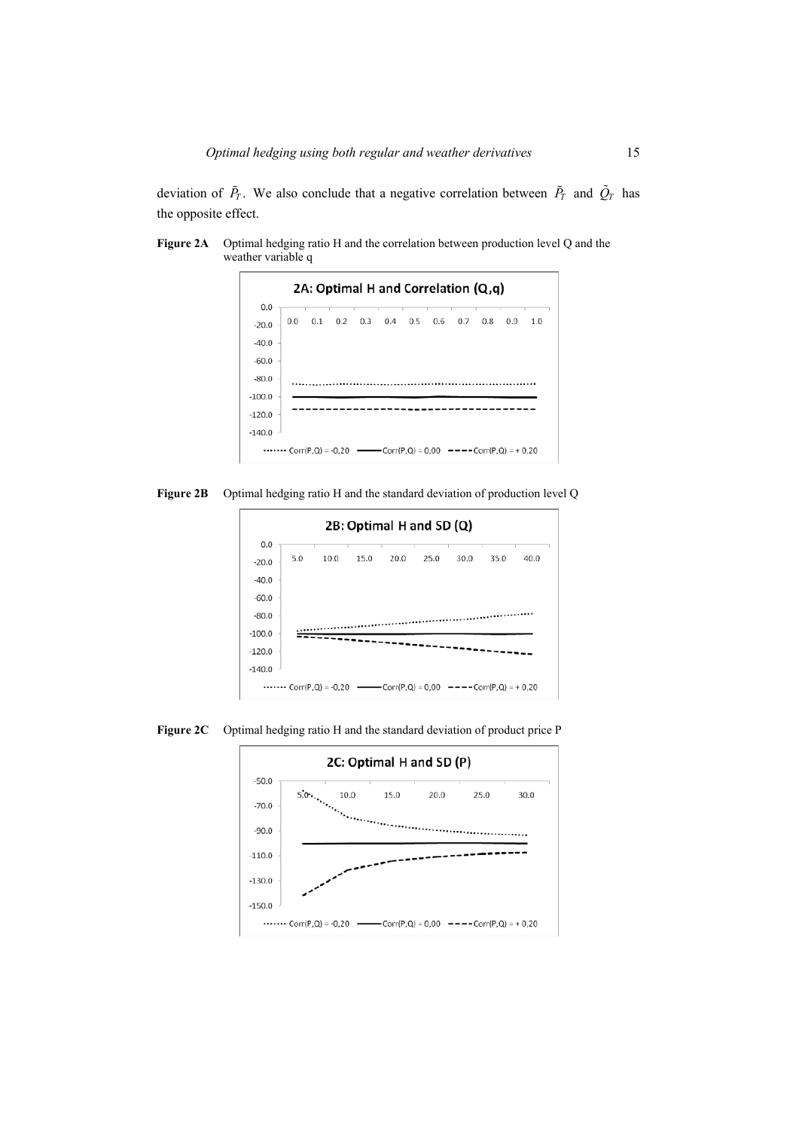deviation of  $\tilde{P}_T$ . We also conclude that a negative correlation between  $\tilde{P}_T$  and  $\tilde{Q}_T$  has the opposite effect.

**Figure 2A** Optimal hedging ratio H and the correlation between production level Q and the weather variable q



**Figure 2B** Optimal hedging ratio H and the standard deviation of production level Q



**Figure 2C** Optimal hedging ratio H and the standard deviation of product price P

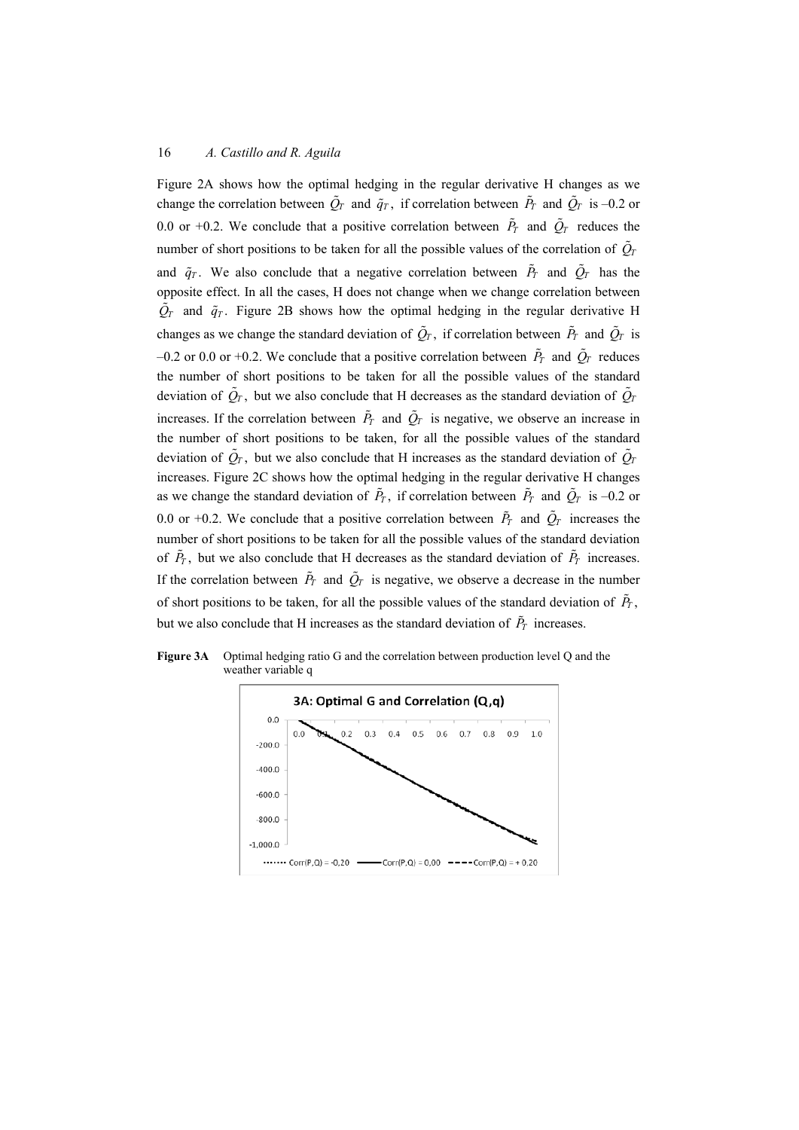Figure 2A shows how the optimal hedging in the regular derivative H changes as we change the correlation between  $\tilde{Q}_T$  and  $\tilde{q}_T$ , if correlation between  $\tilde{P}_T$  and  $\tilde{Q}_T$  is -0.2 or 0.0 or +0.2. We conclude that a positive correlation between  $\tilde{P}_T$  and  $\tilde{Q}_T$  reduces the number of short positions to be taken for all the possible values of the correlation of  $\tilde{Q}_I$ and  $\tilde{q}_T$ . We also conclude that a negative correlation between  $\tilde{P}_T$  and  $\tilde{Q}_T$  has the opposite effect. In all the cases, H does not change when we change correlation between  $\tilde{Q}_T$  and  $\tilde{q}_T$ . Figure 2B shows how the optimal hedging in the regular derivative H changes as we change the standard deviation of  $\tilde{Q}_T$ , if correlation between  $\tilde{P}_T$  and  $\tilde{Q}_T$  is  $-0.2$  or 0.0 or +0.2. We conclude that a positive correlation between  $\tilde{P}_T$  and  $\tilde{Q}_T$  reduces the number of short positions to be taken for all the possible values of the standard deviation of  $\tilde{Q}_T$ , but we also conclude that H decreases as the standard deviation of  $\tilde{Q}_T$ increases. If the correlation between  $\tilde{P}_T$  and  $\tilde{Q}_T$  is negative, we observe an increase in the number of short positions to be taken, for all the possible values of the standard deviation of  $\tilde{Q}_T$ , but we also conclude that H increases as the standard deviation of  $\tilde{Q}_T$ increases. Figure 2C shows how the optimal hedging in the regular derivative H changes as we change the standard deviation of  $\tilde{P}_T$ , if correlation between  $\tilde{P}_T$  and  $\tilde{Q}_T$  is -0.2 or 0.0 or +0.2. We conclude that a positive correlation between  $\tilde{P}_T$  and  $\tilde{Q}_T$  increases the number of short positions to be taken for all the possible values of the standard deviation of  $\tilde{P}_T$ , but we also conclude that H decreases as the standard deviation of  $\tilde{P}_T$  increases. If the correlation between  $\tilde{P}_T$  and  $\tilde{Q}_T$  is negative, we observe a decrease in the number of short positions to be taken, for all the possible values of the standard deviation of  $\tilde{P}_T$ , but we also conclude that H increases as the standard deviation of  $\tilde{P}_T$  increases.

**Figure 3A** Optimal hedging ratio G and the correlation between production level Q and the weather variable q

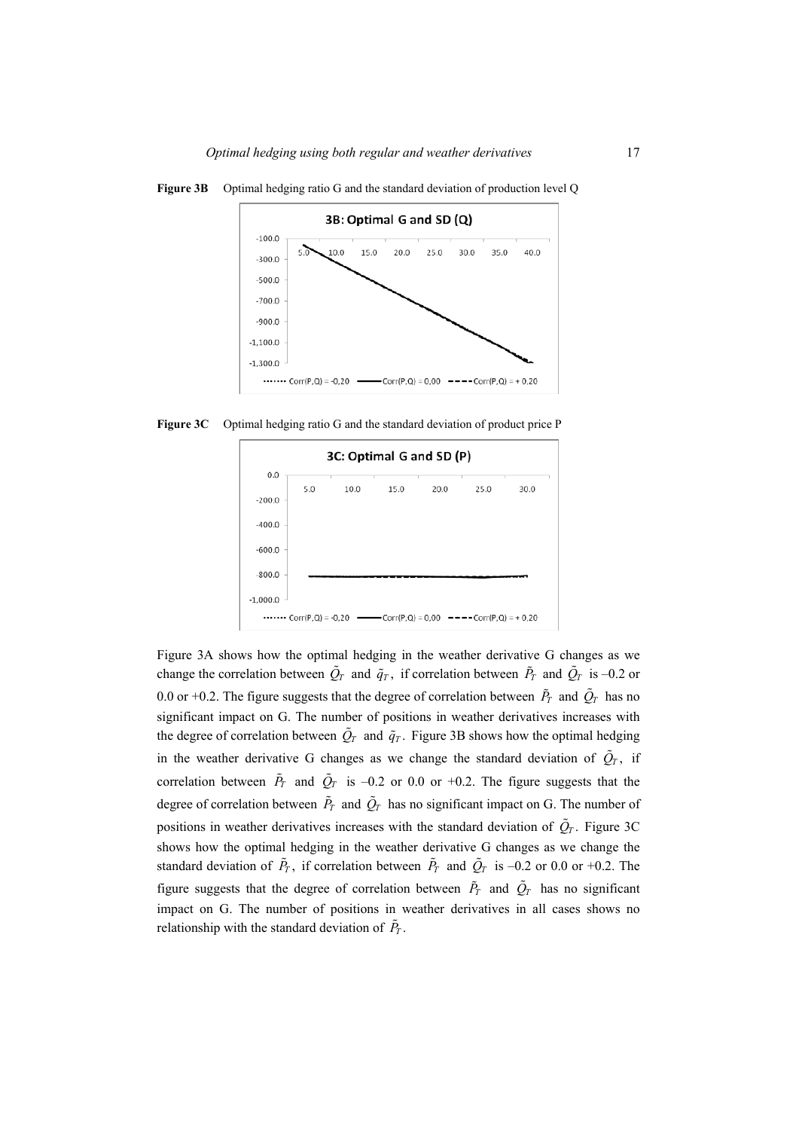

**Figure 3B** Optimal hedging ratio G and the standard deviation of production level Q

**Figure 3C** Optimal hedging ratio G and the standard deviation of product price P



Figure 3A shows how the optimal hedging in the weather derivative G changes as we change the correlation between  $\tilde{Q}_T$  and  $\tilde{q}_T$ , if correlation between  $\tilde{P}_T$  and  $\tilde{Q}_T$  is -0.2 or 0.0 or +0.2. The figure suggests that the degree of correlation between  $\tilde{P}_T$  and  $\tilde{Q}_T$  has no significant impact on G. The number of positions in weather derivatives increases with the degree of correlation between  $\tilde{Q}_T$  and  $\tilde{q}_T$ . Figure 3B shows how the optimal hedging in the weather derivative G changes as we change the standard deviation of  $\tilde{Q}_T$ , if correlation between  $\tilde{P}_T$  and  $\tilde{Q}_T$  is -0.2 or 0.0 or +0.2. The figure suggests that the degree of correlation between  $\tilde{P}_T$  and  $\tilde{Q}_T$  has no significant impact on G. The number of positions in weather derivatives increases with the standard deviation of  $\tilde{Q}_T$ . Figure 3C shows how the optimal hedging in the weather derivative G changes as we change the standard deviation of  $\tilde{P}_T$ , if correlation between  $\tilde{P}_T$  and  $\tilde{Q}_T$  is -0.2 or 0.0 or +0.2. The figure suggests that the degree of correlation between  $\tilde{P}_T$  and  $\tilde{Q}_T$  has no significant impact on G. The number of positions in weather derivatives in all cases shows no relationship with the standard deviation of  $\tilde{P}_T$ .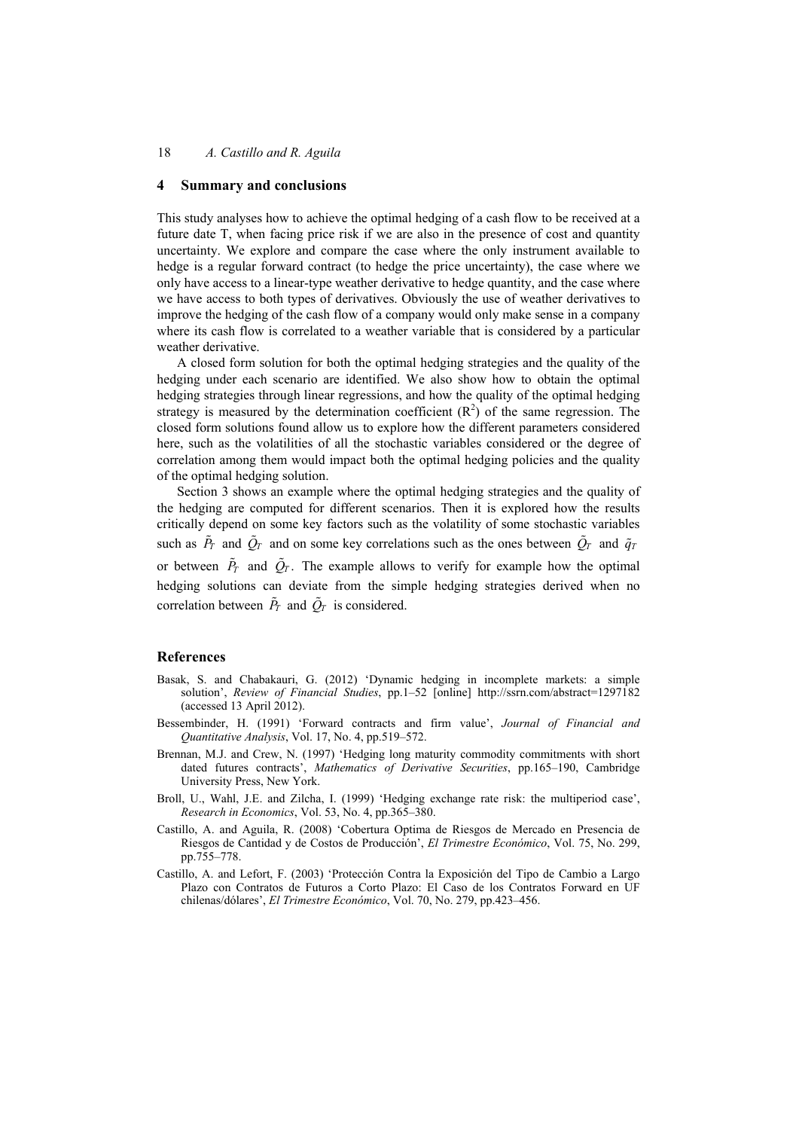### **4 Summary and conclusions**

This study analyses how to achieve the optimal hedging of a cash flow to be received at a future date T, when facing price risk if we are also in the presence of cost and quantity uncertainty. We explore and compare the case where the only instrument available to hedge is a regular forward contract (to hedge the price uncertainty), the case where we only have access to a linear-type weather derivative to hedge quantity, and the case where we have access to both types of derivatives. Obviously the use of weather derivatives to improve the hedging of the cash flow of a company would only make sense in a company where its cash flow is correlated to a weather variable that is considered by a particular weather derivative.

A closed form solution for both the optimal hedging strategies and the quality of the hedging under each scenario are identified. We also show how to obtain the optimal hedging strategies through linear regressions, and how the quality of the optimal hedging strategy is measured by the determination coefficient  $(R^2)$  of the same regression. The closed form solutions found allow us to explore how the different parameters considered here, such as the volatilities of all the stochastic variables considered or the degree of correlation among them would impact both the optimal hedging policies and the quality of the optimal hedging solution.

Section 3 shows an example where the optimal hedging strategies and the quality of the hedging are computed for different scenarios. Then it is explored how the results critically depend on some key factors such as the volatility of some stochastic variables such as  $\tilde{P}_T$  and  $\tilde{Q}_T$  and on some key correlations such as the ones between  $\tilde{Q}_T$  and  $\tilde{q}_T$ or between  $\tilde{P}_T$  and  $\tilde{Q}_T$ . The example allows to verify for example how the optimal hedging solutions can deviate from the simple hedging strategies derived when no correlation between  $\tilde{P}_T$  and  $\tilde{Q}_T$  is considered.

### **References**

- Basak, S. and Chabakauri, G. (2012) 'Dynamic hedging in incomplete markets: a simple solution', *Review of Financial Studies*, pp.1–52 [online] http://ssrn.com/abstract=1297182 (accessed 13 April 2012).
- Bessembinder, H. (1991) 'Forward contracts and firm value', *Journal of Financial and Quantitative Analysis*, Vol. 17, No. 4, pp.519–572.
- Brennan, M.J. and Crew, N. (1997) 'Hedging long maturity commodity commitments with short dated futures contracts', *Mathematics of Derivative Securities*, pp.165–190, Cambridge University Press, New York.
- Broll, U., Wahl, J.E. and Zilcha, I. (1999) 'Hedging exchange rate risk: the multiperiod case', *Research in Economics*, Vol. 53, No. 4, pp.365–380.
- Castillo, A. and Aguila, R. (2008) 'Cobertura Optima de Riesgos de Mercado en Presencia de Riesgos de Cantidad y de Costos de Producción', *El Trimestre Económico*, Vol. 75, No. 299, pp.755–778.
- Castillo, A. and Lefort, F. (2003) 'Protección Contra la Exposición del Tipo de Cambio a Largo Plazo con Contratos de Futuros a Corto Plazo: El Caso de los Contratos Forward en UF chilenas/dólares', *El Trimestre Económico*, Vol. 70, No. 279, pp.423–456.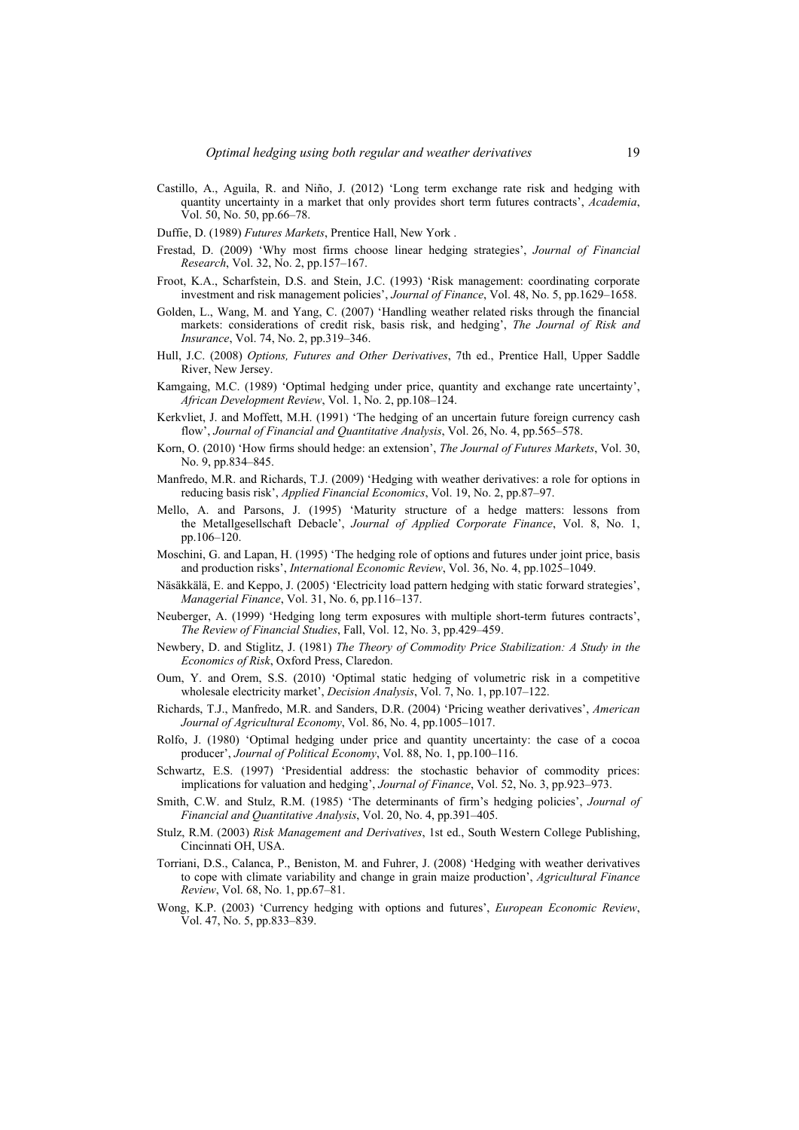- Castillo, A., Aguila, R. and Niño, J. (2012) 'Long term exchange rate risk and hedging with quantity uncertainty in a market that only provides short term futures contracts', *Academia*, Vol. 50, No. 50, pp.66–78.
- Duffie, D. (1989) *Futures Markets*, Prentice Hall, New York .
- Frestad, D. (2009) 'Why most firms choose linear hedging strategies', *Journal of Financial Research*, Vol. 32, No. 2, pp.157–167.
- Froot, K.A., Scharfstein, D.S. and Stein, J.C. (1993) 'Risk management: coordinating corporate investment and risk management policies', *Journal of Finance*, Vol. 48, No. 5, pp.1629–1658.
- Golden, L., Wang, M. and Yang, C. (2007) 'Handling weather related risks through the financial markets: considerations of credit risk, basis risk, and hedging', *The Journal of Risk and Insurance*, Vol. 74, No. 2, pp.319–346.
- Hull, J.C. (2008) *Options, Futures and Other Derivatives*, 7th ed., Prentice Hall, Upper Saddle River, New Jersey.
- Kamgaing, M.C. (1989) 'Optimal hedging under price, quantity and exchange rate uncertainty', *African Development Review*, Vol. 1, No. 2, pp.108–124.
- Kerkvliet, J. and Moffett, M.H. (1991) 'The hedging of an uncertain future foreign currency cash flow', *Journal of Financial and Quantitative Analysis*, Vol. 26, No. 4, pp.565–578.
- Korn, O. (2010) 'How firms should hedge: an extension', *The Journal of Futures Markets*, Vol. 30, No. 9, pp.834–845.
- Manfredo, M.R. and Richards, T.J. (2009) 'Hedging with weather derivatives: a role for options in reducing basis risk', *Applied Financial Economics*, Vol. 19, No. 2, pp.87–97.
- Mello, A. and Parsons, J. (1995) 'Maturity structure of a hedge matters: lessons from the Metallgesellschaft Debacle', *Journal of Applied Corporate Finance*, Vol. 8, No. 1, pp.106–120.
- Moschini, G. and Lapan, H. (1995) 'The hedging role of options and futures under joint price, basis and production risks', *International Economic Review*, Vol. 36, No. 4, pp.1025–1049.
- Näsäkkälä, E. and Keppo, J. (2005) 'Electricity load pattern hedging with static forward strategies', *Managerial Finance*, Vol. 31, No. 6, pp.116–137.
- Neuberger, A. (1999) 'Hedging long term exposures with multiple short-term futures contracts', *The Review of Financial Studies*, Fall, Vol. 12, No. 3, pp.429–459.
- Newbery, D. and Stiglitz, J. (1981) *The Theory of Commodity Price Stabilization: A Study in the Economics of Risk*, Oxford Press, Claredon.
- Oum, Y. and Orem, S.S. (2010) 'Optimal static hedging of volumetric risk in a competitive wholesale electricity market', *Decision Analysis*, Vol. 7, No. 1, pp.107–122.
- Richards, T.J., Manfredo, M.R. and Sanders, D.R. (2004) 'Pricing weather derivatives', *American Journal of Agricultural Economy*, Vol. 86, No. 4, pp.1005–1017.
- Rolfo, J. (1980) 'Optimal hedging under price and quantity uncertainty: the case of a cocoa producer', *Journal of Political Economy*, Vol. 88, No. 1, pp.100–116.
- Schwartz, E.S. (1997) 'Presidential address: the stochastic behavior of commodity prices: implications for valuation and hedging', *Journal of Finance*, Vol. 52, No. 3, pp.923–973.
- Smith, C.W. and Stulz, R.M. (1985) 'The determinants of firm's hedging policies', *Journal of Financial and Quantitative Analysis*, Vol. 20, No. 4, pp.391–405.
- Stulz, R.M. (2003) *Risk Management and Derivatives*, 1st ed., South Western College Publishing, Cincinnati OH, USA.
- Torriani, D.S., Calanca, P., Beniston, M. and Fuhrer, J. (2008) 'Hedging with weather derivatives to cope with climate variability and change in grain maize production', *Agricultural Finance Review*, Vol. 68, No. 1, pp.67–81.
- Wong, K.P. (2003) 'Currency hedging with options and futures', *European Economic Review*, Vol. 47, No. 5, pp.833–839.